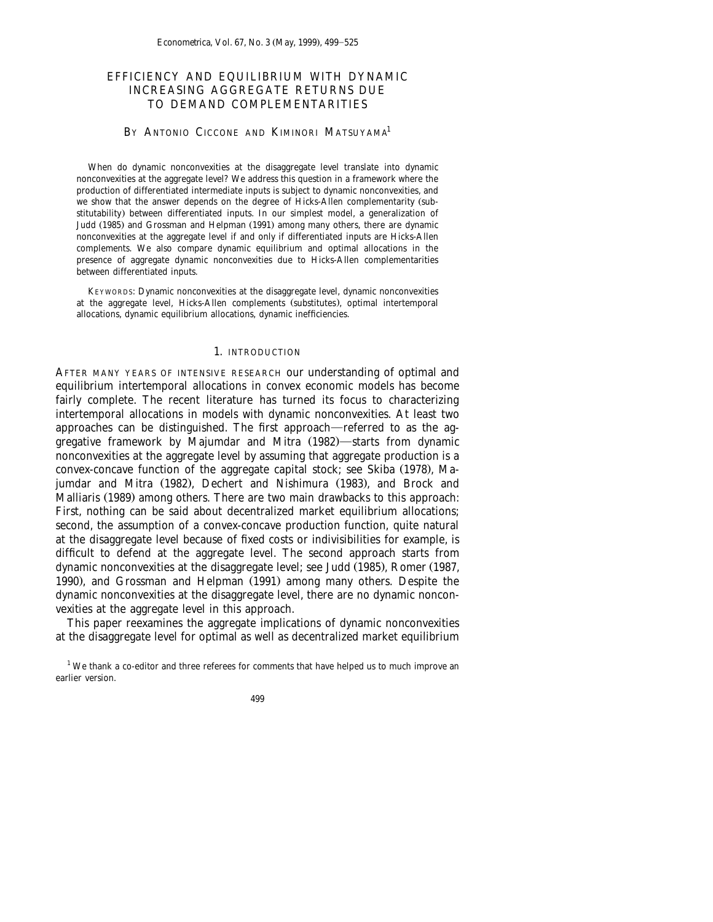# EFFICIENCY AND EQUILIBRIUM WITH DYNAMIC INCREASING AGGREGATE RETURNS DUE TO DEMAND COMPLEMENTARITIES

# BY ANTONIO CICCONE AND KIMINORI MATSUYAMA<sup>1</sup>

When do dynamic nonconvexities at the disaggregate level translate into dynamic nonconvexities at the aggregate level? We address this question in a framework where the production of differentiated intermediate inputs is subject to dynamic nonconvexities, and we show that the answer depends on the degree of Hicks-Allen complementarity (substitutability) between differentiated inputs. In our simplest model, a generalization of Judd (1985) and Grossman and Helpman (1991) among many others, there are dynamic nonconvexities at the aggregate level if and only if differentiated inputs are Hicks-Allen complements. We also compare dynamic equilibrium and optimal allocations in the presence of aggregate dynamic nonconvexities due to Hicks-Allen complementarities between differentiated inputs.

KEYWORDS: Dynamic nonconvexities at the disaggregate level, dynamic nonconvexities at the aggregate level, Hicks-Allen complements (substitutes), optimal intertemporal allocations, dynamic equilibrium allocations, dynamic inefficiencies.

### 1. INTRODUCTION

AFTER MANY YEARS OF INTENSIVE RESEARCH our understanding of optimal and equilibrium intertemporal allocations in convex economic models has become fairly complete. The recent literature has turned its focus to characterizing intertemporal allocations in models with dynamic nonconvexities. At least two approaches can be distinguished. The first approach—referred to as the aggregative framework by Majumdar and Mitra (1982)—starts from dynamic nonconvexities at the aggregate level by assuming that aggregate production is a convex-concave function of the aggregate capital stock; see Skiba (1978), Majumdar and Mitra (1982), Dechert and Nishimura (1983), and Brock and Malliaris (1989) among others. There are two main drawbacks to this approach: First, nothing can be said about decentralized market equilibrium allocations; second, the assumption of a convex-concave production function, quite natural at the disaggregate level because of fixed costs or indivisibilities for example, is difficult to defend at the aggregate level. The second approach starts from dynamic nonconvexities at the disaggregate level; see Judd (1985), Romer (1987, 1990), and Grossman and Helpman (1991) among many others. Despite the dynamic nonconvexities at the disaggregate level, there are no dynamic nonconvexities at the aggregate level in this approach.

This paper reexamines the aggregate implications of dynamic nonconvexities at the disaggregate level for optimal as well as decentralized market equilibrium

 $1$  We thank a co-editor and three referees for comments that have helped us to much improve an earlier version.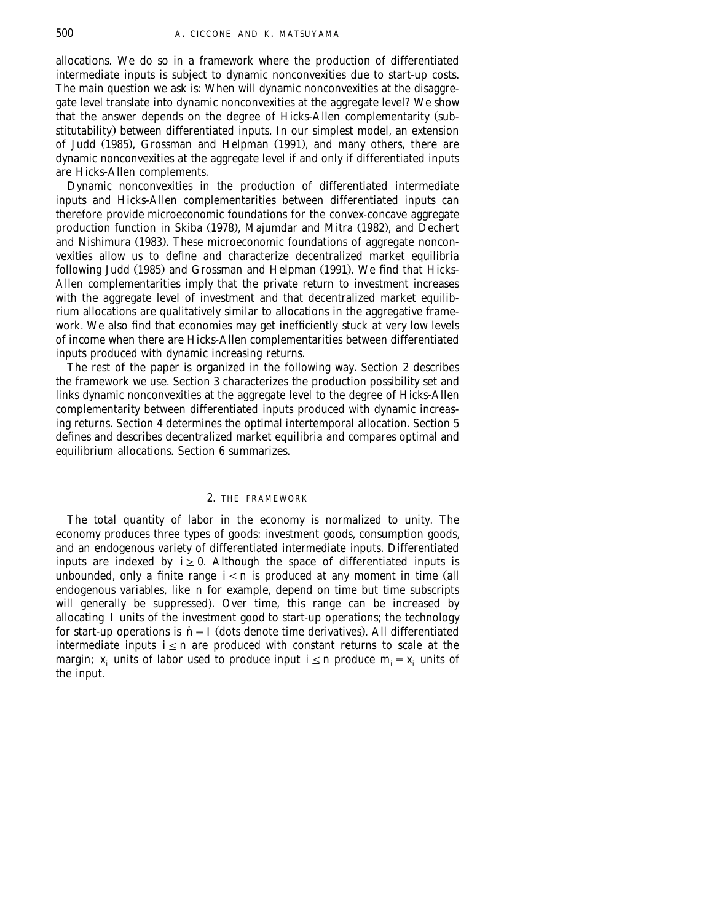allocations. We do so in a framework where the production of differentiated intermediate inputs is subject to dynamic nonconvexities due to start-up costs. The main question we ask is: When will dynamic nonconvexities at the disaggregate level translate into dynamic nonconvexities at the aggregate level? We show that the answer depends on the degree of Hicks-Allen complementarity (substitutability) between differentiated inputs. In our simplest model, an extension of Judd (1985), Grossman and Helpman (1991), and many others, there are dynamic nonconvexities at the aggregate level if and only if differentiated inputs are Hicks-Allen complements.

Dynamic nonconvexities in the production of differentiated intermediate inputs and Hicks-Allen complementarities between differentiated inputs can therefore provide microeconomic foundations for the convex-concave aggregate production function in Skiba (1978), Majumdar and Mitra (1982), and Dechert and Nishimura (1983). These microeconomic foundations of aggregate nonconvexities allow us to define and characterize decentralized market equilibria following Judd (1985) and Grossman and Helpman (1991). We find that Hicks-Allen complementarities imply that the private return to investment increases with the aggregate level of investment and that decentralized market equilibrium allocations are qualitatively similar to allocations in the aggregative framework. We also find that economies may get inefficiently stuck at very low levels of income when there are Hicks-Allen complementarities between differentiated inputs produced with dynamic increasing returns.

The rest of the paper is organized in the following way. Section 2 describes the framework we use. Section 3 characterizes the production possibility set and links dynamic nonconvexities at the aggregate level to the degree of Hicks-Allen complementarity between differentiated inputs produced with dynamic increasing returns. Section 4 determines the optimal intertemporal allocation. Section 5 defines and describes decentralized market equilibria and compares optimal and equilibrium allocations. Section 6 summarizes.

#### 2. THE FRAMEWORK

The total quantity of labor in the economy is normalized to unity. The economy produces three types of goods: investment goods, consumption goods, and an endogenous variety of differentiated intermediate inputs. Differentiated inputs are indexed by  $i \geq 0$ . Although the space of differentiated inputs is unbounded, only a finite range  $i \le n$  is produced at any moment in time (all endogenous variables, like *n* for example, depend on time but time subscripts will generally be suppressed). Over time, this range can be increased by allocating *I* units of the investment good to start-up operations; the technology for start-up operations is  $\dot{n}$  =  $I$  (dots denote time derivatives). All differentiated intermediate inputs  $i \leq n$  are produced with constant returns to scale at the margin;  $x_i$  units of labor used to produce input  $i \le n$  produce  $m_i = x_i$  units of the input.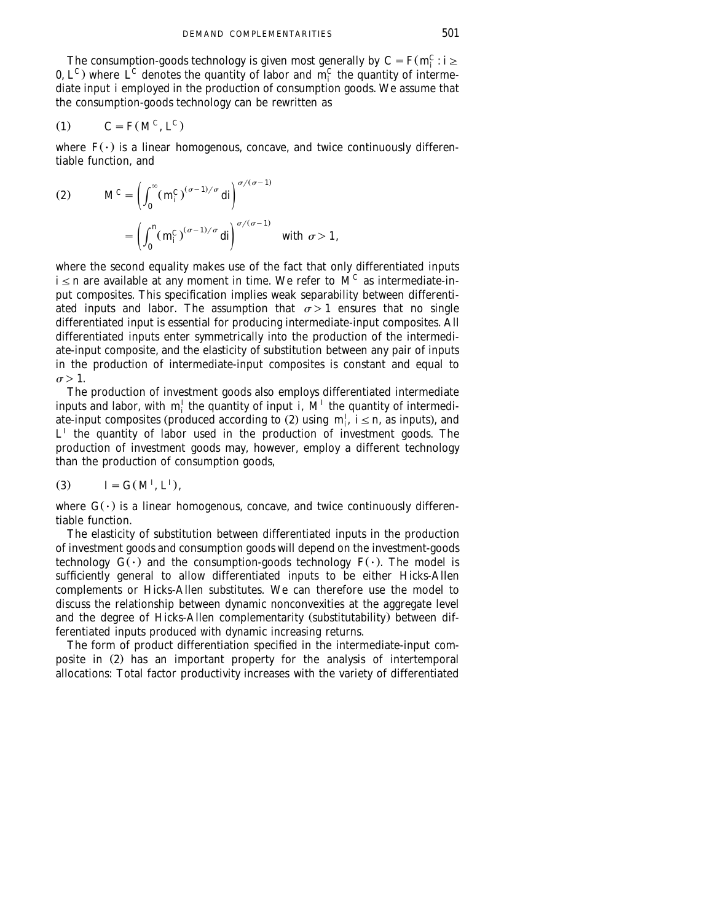The consumption-goods technology is given most generally by  $C = F(m_i^C : i \geq 1)$ 0,  $L^C$ ) where  $\hat{L}^C$  denotes the quantity of labor and  $m_i^C$  the quantity of intermediate input *i* employed in the production of consumption goods. We assume that the consumption-goods technology can be rewritten as

$$
(1) \tC = F(M^C, L^C)
$$

where  $F(\cdot)$  is a linear homogenous, concave, and twice continuously differentiable function, and

(2) 
$$
M^C = \left(\int_0^\infty (m_i^C)^{(\sigma-1)/\sigma} di\right)^{\sigma/(\sigma-1)}
$$

$$
= \left(\int_0^n (m_i^C)^{(\sigma-1)/\sigma} di\right)^{\sigma/(\sigma-1)} \text{ with } \sigma > 1,
$$

where the second equality makes use of the fact that only differentiated inputs  $i \le n$  are available at any moment in time. We refer to  $M^C$  as intermediate-input composites. This specification implies weak separability between differentiated inputs and labor. The assumption that  $\sigma > 1$  ensures that no single differentiated input is essential for producing intermediate-input composites. All differentiated inputs enter symmetrically into the production of the intermediate-input composite, and the elasticity of substitution between any pair of inputs in the production of intermediate-input composites is constant and equal to  $\sigma$  > 1.

The production of investment goods also employs differentiated intermediate inputs and labor, with  $m_i^I$  the quantity of input *i*,  $M^I$  the quantity of intermediate-input composites (produced according to (2) using  $m_i^f$ ,  $i \le n$ , as inputs), and  $L<sup>I</sup>$  the quantity of labor used in the production of investment goods. The production of investment goods may, however, employ a different technology than the production of consumption goods,

$$
(3) \qquad I = G(M^I, L^I),
$$

where  $G(\cdot)$  is a linear homogenous, concave, and twice continuously differentiable function.

The elasticity of substitution between differentiated inputs in the production of investment goods and consumption goods will depend on the investment-goods technology  $G(\cdot)$  and the consumption-goods technology  $F(\cdot)$ . The model is sufficiently general to allow differentiated inputs to be either Hicks-Allen complements or Hicks-Allen substitutes. We can therefore use the model to discuss the relationship between dynamic nonconvexities at the aggregate level and the degree of Hicks-Allen complementarity (substitutability) between differentiated inputs produced with dynamic increasing returns.

The form of product differentiation specified in the intermediate-input composite in  $(2)$  has an important property for the analysis of intertemporal allocations: Total factor productivity increases with the variety of differentiated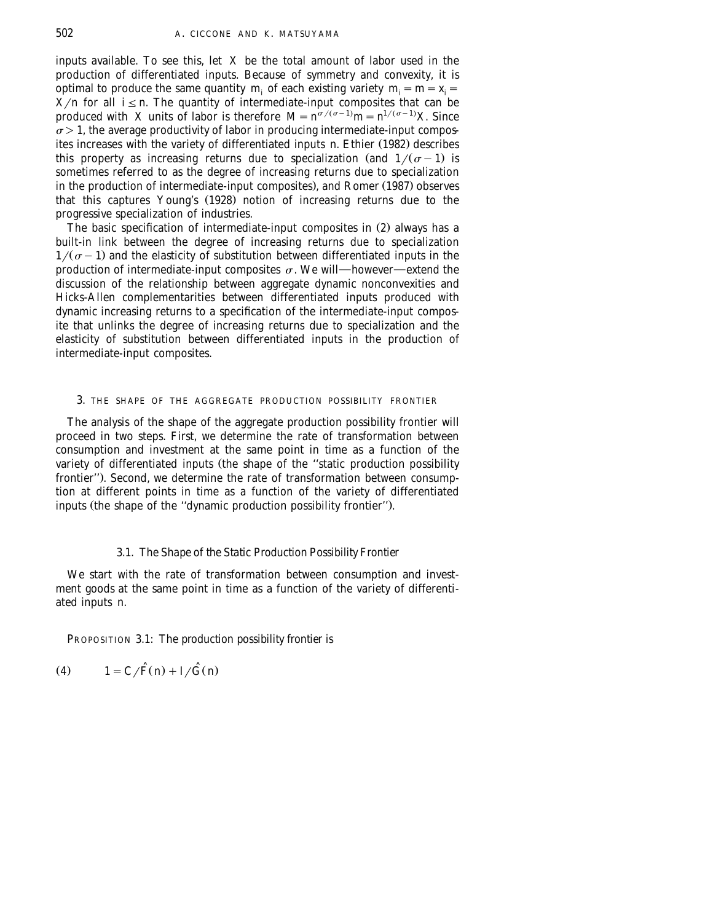inputs available. To see this, let *X* be the total amount of labor used in the production of differentiated inputs. Because of symmetry and convexity, it is optimal to produce the same quantity *m<sub>i</sub>* of each existing variety  $m_i = m = x_i =$  $\overline{X}/n$  for all  $i \leq n$ . The quantity of intermediate-input composites that can be produced with *X* units of labor is therefore  $M = n^{\sigma/(\sigma-1)}m = n^{1/(\sigma-1)}X$ . Since  $\sigma > 1$ , the average productivity of labor in producing intermediate-input composites increases with the variety of differentiated inputs *n*. Ethier (1982) describes this property as increasing returns due to specialization (and  $1/(\sigma-1)$  is sometimes referred to as the degree of increasing returns due to specialization in the production of intermediate-input composites), and Romer (1987) observes that this captures Young's (1928) notion of increasing returns due to the progressive specialization of industries.

The basic specification of intermediate-input composites in  $(2)$  always has a built-in link between the degree of increasing returns due to specialization  $1/(\sigma - 1)$  and the elasticity of substitution between differentiated inputs in the production of intermediate-input composites  $\sigma$ . We will—however—extend the discussion of the relationship between aggregate dynamic nonconvexities and Hicks-Allen complementarities between differentiated inputs produced with dynamic increasing returns to a specification of the intermediate-input composite that unlinks the degree of increasing returns due to specialization and the elasticity of substitution between differentiated inputs in the production of intermediate-input composites.

#### 3. THE SHAPE OF THE AGGREGATE PRODUCTION POSSIBILITY FRONTIER

The analysis of the shape of the aggregate production possibility frontier will proceed in two steps. First, we determine the rate of transformation between consumption and investment at the same point in time as a function of the variety of differentiated inputs (the shape of the "static production possibility frontier"). Second, we determine the rate of transformation between consumption at different points in time as a function of the variety of differentiated inputs (the shape of the "dynamic production possibility frontier").

## 3.1. *The Shape of the Static Production Possibility Frontier*

We start with the rate of transformation between consumption and investment goods at the same point in time as a function of the variety of differentiated inputs *n*.

PROPOSITION 3.1: *The production possibility frontier is*

$$
(4) \qquad 1 = C/\widehat{F}(n) + I/\widehat{G}(n)
$$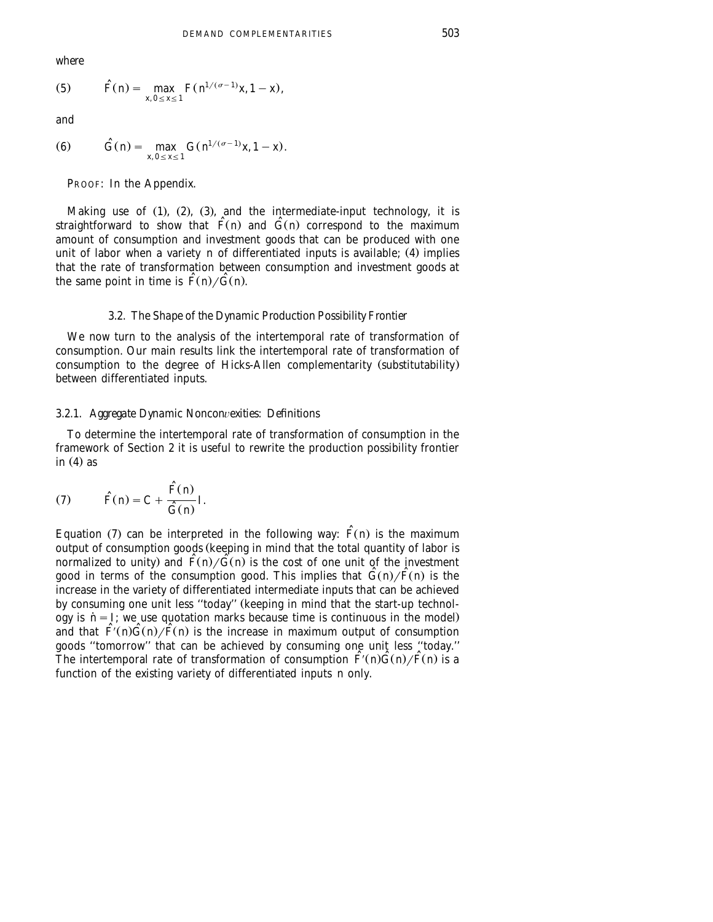*where*

(5) 
$$
\widehat{F}(n) = \max_{x, 0 \le x \le 1} F(n^{1/(\sigma-1)}x, 1-x),
$$

*and*

(6) 
$$
\hat{G}(n) = \max_{x, 0 \le x \le 1} G(n^{1/(\sigma-1)}x, 1-x).
$$

PROOF: In the Appendix.

Making use of  $(1)$ ,  $(2)$ ,  $(3)$ , and the intermediate-input technology, it is straightforward to show that  $\hat{F}(n)$  and  $\hat{G}(n)$  correspond to the maximum amount of consumption and investment goods that can be produced with one unit of labor when a variety *n* of differentiated inputs is available; (4) implies that the rate of transformation between consumption and investment goods at the same point in time is  $\hat{F}(n)/\hat{G}(n)$ .

#### 3.2. *The Shape of the Dynamic Production Possibility Frontier*

We now turn to the analysis of the intertemporal rate of transformation of consumption. Our main results link the intertemporal rate of transformation of consumption to the degree of Hicks-Allen complementarity (substitutability) between differentiated inputs.

#### 3.2.1. *Aggregate Dynamic Noncon*¨*exities*: *Definitions*

To determine the intertemporal rate of transformation of consumption in the framework of Section 2 it is useful to rewrite the production possibility frontier in  $(4)$  as

(7) 
$$
\widehat{F}(n) = C + \frac{\widehat{F}(n)}{\widehat{G}(n)}I.
$$

Equation (7) can be interpreted in the following way:  $\tilde{F}(n)$  is the maximum output of consumption goods keeping in mind that the total quantity of labor is Ž normalized to unity) and  $\overline{F}(n)/\overline{G}(n)$  is the cost of one unit of the investment good in terms of the consumption good. This implies that  $\tilde{G}(n)/\tilde{F}(n)$  is the increase in the variety of differentiated intermediate inputs that can be achieved by consuming one unit less "today" (keeping in mind that the start-up technology is  $n = I$ ; we use quotation marks because time is continuous in the model) and that  $\overline{F}(n)\overline{G}(n)/\overline{F}(n)$  is the increase in maximum output of consumption goods ''tomorrow'' that can be achieved by consuming one unit less ''today.'' The intertemporal rate of transformation of consumption  $\tilde{F}(n)\tilde{G}(n)/\tilde{F}(n)$  is a function of the existing variety of differentiated inputs *n* only.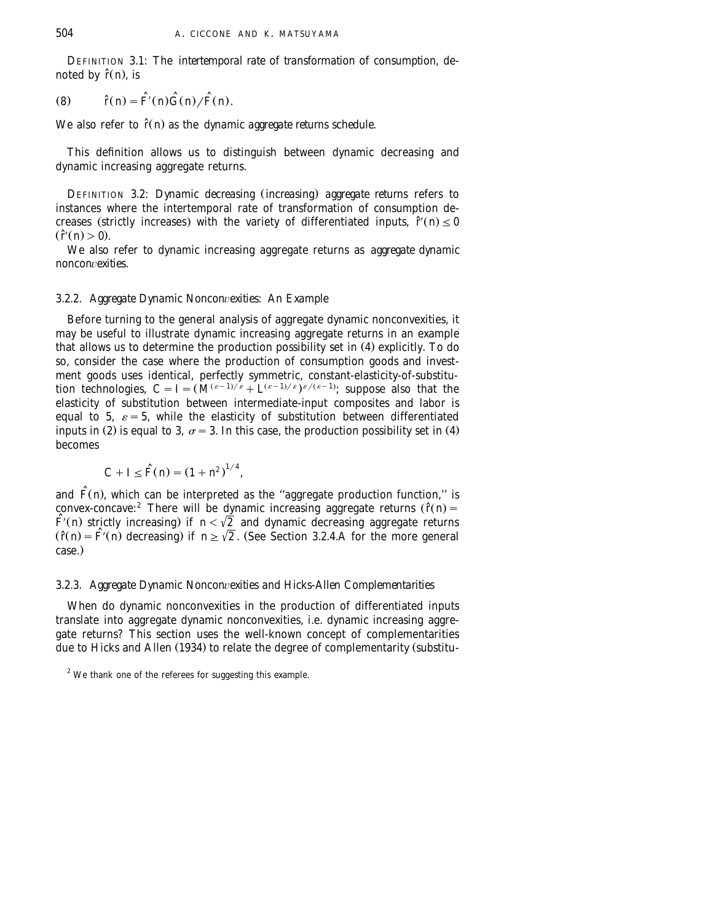DEFINITION 3.1: The *intertemporal rate of transformation of consumption*, denoted by  $\hat{r}(n)$ , is

$$
(8) \qquad \hat{r}(n) = \hat{F}(n)\,\hat{G}(n)/\hat{F}(n).
$$

We also refer to  $\hat{r}(n)$  as the *dynamic aggregate returns schedule*.

This definition allows us to distinguish between dynamic decreasing and dynamic increasing aggregate returns.

DEFINITION 3.2: *Dynamic decreasing (increasing) aggregate returns* refers to instances where the intertemporal rate of transformation of consumption decreases (strictly increases) with the variety of differentiated inputs,  $\hat{r}(n) \leq 0$  $(\tilde{r}(n) > 0)$ .

We also refer to dynamic increasing aggregate returns as *aggregate dynamic noncon*¨*exities*.

# 3.2.2. *Aggregate Dynamic Noncon*¨*exities*: *An Example*

Before turning to the general analysis of aggregate dynamic nonconvexities, it may be useful to illustrate dynamic increasing aggregate returns in an example that allows us to determine the production possibility set in (4) explicitly. To do so, consider the case where the production of consumption goods and investment goods uses identical, perfectly symmetric, constant-elasticity-of-substitution technologies,  $C = I = (M^{(\varepsilon-1)/\varepsilon} + L^{(\varepsilon-1)/\varepsilon})^{\varepsilon/(\varepsilon-1)}$ ; suppose also that the elasticity of substitution between intermediate-input composites and labor is equal to 5,  $\varepsilon = 5$ , while the elasticity of substitution between differentiated inputs in (2) is equal to 3,  $\sigma = 3$ . In this case, the production possibility set in (4) becomes

$$
C + I \leq \hat{F}(n) = (1 + n^2)^{1/4},
$$

and *F*(*n*), which can be interpreted as the "aggregate production function," is convex-concave:<sup>2</sup> There will be dynamic increasing aggregate returns ( $\hat{r}(n)$ ) =  $\hat{F}(n)$  strictly increasing) if  $n < \sqrt{2}$  and dynamic decreasing aggregate returns  $(\hat{r}(n) = \hat{F}(n))$  decreasing) if  $n \ge \sqrt{2}$ . (See Section 3.2.4.A for the more general case.)

## 3.2.3. *Aggregate Dynamic Noncon*¨*exities and Hicks*-*Allen Complementarities*

When do dynamic nonconvexities in the production of differentiated inputs translate into aggregate dynamic nonconvexities, i.e. dynamic increasing aggregate returns? This section uses the well-known concept of complementarities due to Hicks and Allen (1934) to relate the degree of complementarity (substitu-

<sup>&</sup>lt;sup>2</sup> We thank one of the referees for suggesting this example.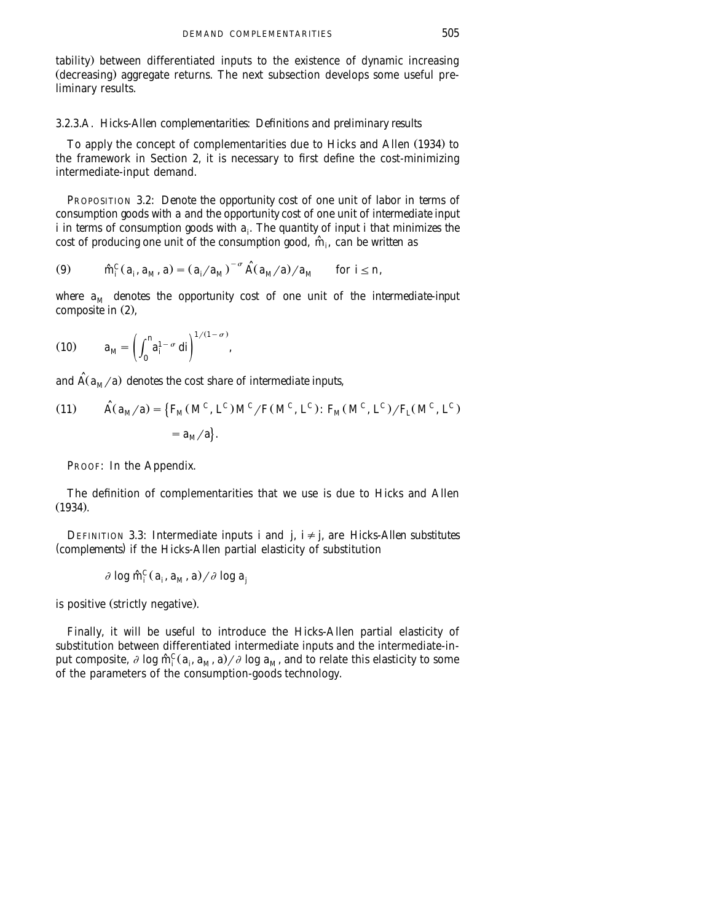tability) between differentiated inputs to the existence of dynamic increasing (decreasing) aggregate returns. The next subsection develops some useful preliminary results.

# 3.2.3.A. *Hicks*-*Allen complementarities*: *Definitions and preliminary results*

To apply the concept of complementarities due to Hicks and Allen (1934) to the framework in Section 2, it is necessary to first define the cost-minimizing intermediate-input demand.

PROPOSITION 3.2: *Denote the opportunity cost of one unit of labor in terms of consumption goods with a and the opportunity cost of one unit of intermediate input i* in terms of consumption goods with  $a_i$ . The quantity of input *i* that minimizes the *cost of producing one unit of the consumption good,*  $\hat{m}_i$ *, can be written as* 

(9) 
$$
\hat{m}_i^C(a_i, a_M, a) = (a_i/a_M)^{-\sigma} \hat{A}(a_M/a)/a_M \text{ for } i \le n,
$$

where  $a_M$  denotes the opportunity cost of one unit of the intermediate-input *composite in*  $(2)$ ,

$$
(10) \t a_M = \left( \int_0^n a_i^{1-\sigma} \ dt \right)^{1/(1-\sigma)},
$$

and  $\hat{A}(a_M/a)$  denotes the cost share of intermediate inputs,

(11) 
$$
\hat{A}(a_M/a) = \{F_M(M^C, L^C)M^C/F(M^C, L^C): F_M(M^C, L^C)/F_L(M^C, L^C) = a_M/a\}.
$$

PROOF: In the Appendix.

The definition of complementarities that we use is due to Hicks and Allen  $(1934).$ 

DEFINITION 3.3: Intermediate inputs *i* and *j*,  $i \neq j$ , are *Hicks-Allen substitutes* (*complements*) if the Hicks-Allen partial elasticity of substitution

$$
\partial \log \hat{m}_i^C(a_i, a_M, a) / \partial \log a_j
$$

is positive (strictly negative).

Finally, it will be useful to introduce the Hicks-Allen partial elasticity of substitution between differentiated intermediate inputs and the intermediate-input composite,  $\partial \log \hat{m}_i^C(a_i, a_i, a_i) / \partial \log a_i$ , and to relate this elasticity to some of the parameters of the consumption-goods technology.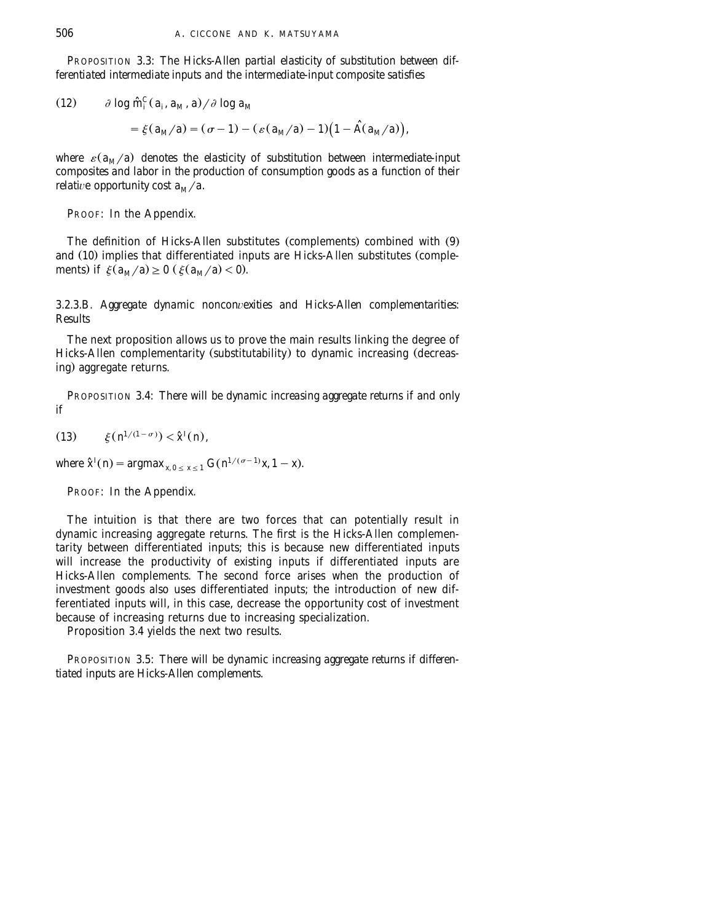PROPOSITION 3.3: *The Hicks*-*Allen partial elasticity of substitution between differentiated intermediate inputs and the intermediate*-*input composite satisfies*

(12) 
$$
\partial \log \hat{m}_i^C(a_i, a_M, a) / \partial \log a_M
$$
  
=  $\xi(a_M/a) = (\sigma - 1) - (\varepsilon(a_M/a) - 1)(1 - \hat{A}(a_M/a)),$ 

*where*  $\varepsilon$ ( $a_M/a$ ) denotes the elasticity of substitution between intermediate-input *composites and labor in the production of consumption goods as a function of their relative opportunity cost*  $a_M/a$ *.* 

PROOF: In the Appendix.

The definition of Hicks-Allen substitutes (complements) combined with (9) and (10) implies that differentiated inputs are Hicks-Allen substitutes (complements) if  $\xi(a_M/a) \ge 0$  ( $\xi(a_M/a) < 0$ ).

3.2.3.B. *Aggregate dynamic nonconvexities and Hicks-Allen complementarities*: *Results*

The next proposition allows us to prove the main results linking the degree of Hicks-Allen complementarity (substitutability) to dynamic increasing (decreasing) aggregate returns.

PROPOSITION 3.4: *There will be dynamic increasing aggregate returns if and only if*

(13) 
$$
\xi(n^{1/(1-\sigma)}) < \hat{x}^I(n)
$$
,

*Where*  $\hat{x}^{I}(n) = \underset{x_0}{\text{argmax}} \, x_{0 \leq x \leq 1} G(n^{1/(\sigma-1)}x, 1-x)$ .

PROOF: In the Appendix.

The intuition is that there are two forces that can potentially result in dynamic increasing aggregate returns. The first is the Hicks-Allen complementarity between differentiated inputs; this is because new differentiated inputs will increase the productivity of existing inputs if differentiated inputs are Hicks-Allen complements. The second force arises when the production of investment goods also uses differentiated inputs; the introduction of new differentiated inputs will, in this case, decrease the opportunity cost of investment because of increasing returns due to increasing specialization.

Proposition 3.4 yields the next two results.

PROPOSITION 3.5: *There will be dynamic increasing aggregate returns if differentiated inputs are Hicks*-*Allen complements*.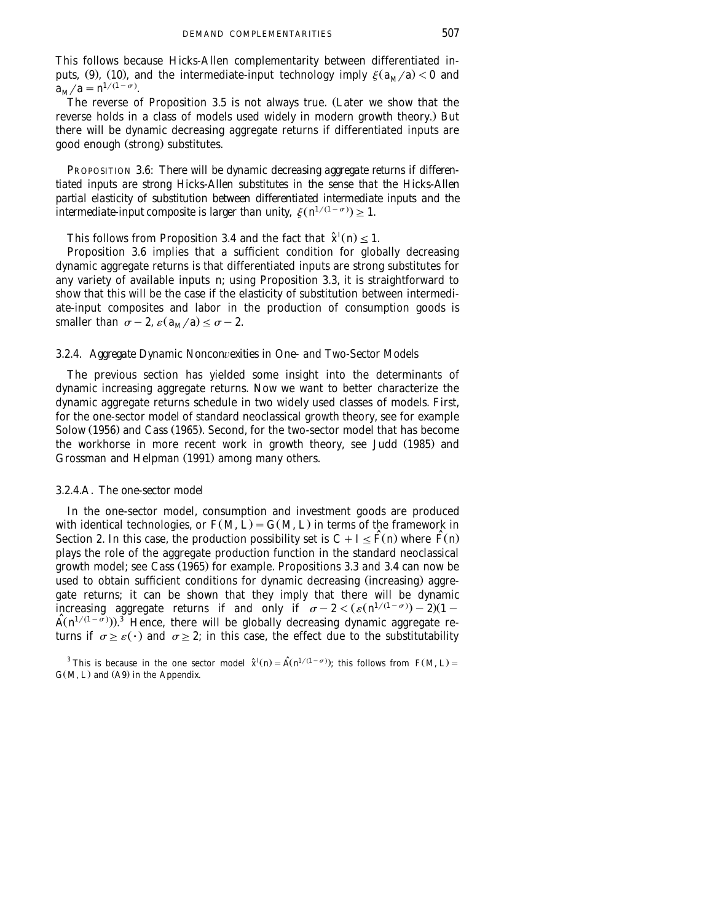This follows because Hicks-Allen complementarity between differentiated inputs, (9), (10), and the intermediate-input technology imply  $\xi(a_M/a) < 0$  and  $a_M/a = n^{1/(1-\sigma)}$ .

The reverse of Proposition 3.5 is not always true. (Later we show that the reverse holds in a class of models used widely in modern growth theory.) But there will be dynamic decreasing aggregate returns if differentiated inputs are good enough (strong) substitutes.

PROPOSITION 3.6: *There will be dynamic decreasing aggregate returns if differentiated inputs are strong Hicks*-*Allen substitutes in the sense that the Hicks*-*Allen partial elasticity of substitution between differentiated intermediate inputs and the intermediate-input composite is larger than unity,*  $\xi(n^{1/(1-\sigma)}) \geq 1$ .

*I* This follows from Proposition 3.4 and the fact that  $\hat{\chi}^I(n) \leq 1$ .

Proposition 3.6 implies that a sufficient condition for globally decreasing dynamic aggregate returns is that differentiated inputs are strong substitutes for any variety of available inputs *n*; using Proposition 3.3, it is straightforward to show that this will be the case if the elasticity of substitution between intermediate-input composites and labor in the production of consumption goods is smaller than  $\sigma-2$ ,  $\varepsilon(a_M/a) \leq \sigma-2$ .

# 3.2.4. *Aggregate Dynamic Noncon*¨*exities in One*- *and Two*-*Sector Models*

The previous section has yielded some insight into the determinants of dynamic increasing aggregate returns. Now we want to better characterize the dynamic aggregate returns schedule in two widely used classes of models. First, for the one-sector model of standard neoclassical growth theory, see for example Solow (1956) and Cass (1965). Second, for the two-sector model that has become the workhorse in more recent work in growth theory, see Judd (1985) and Grossman and Helpman (1991) among many others.

## 3.2.4.A. *The one*-*sector model*

In the one-sector model, consumption and investment goods are produced with identical technologies, or  $F(M, L) = G(M, L)$  in terms of the framework in Section 2. In this case, the production possibility set is  $C + I \leq \tilde{F}(n)$  where  $\tilde{F}(n)$ plays the role of the aggregate production function in the standard neoclassical growth model; see Cass  $(1965)$  for example. Propositions 3.3 and 3.4 can now be used to obtain sufficient conditions for dynamic decreasing (increasing) aggregate returns; it can be shown that they imply that there will be dynamic increasing aggregate returns if and only if  $\sigma - 2 < (\varepsilon (n^{1/(1-\sigma)}) - 2)(1 \hat{A}(n^{1/(1-\sigma)}))$ .<sup>3</sup> Hence, there will be globally decreasing dynamic aggregate returns if  $\sigma \geq \varepsilon(\cdot)$  and  $\sigma \geq 2$ ; in this case, the effect due to the substitutability

<sup>3</sup> This is because in the one sector model  $\hat{\chi}^I(n) = \hat{A}(n^{1/(1-\sigma)})$ ; this follows from  $F(M, L) =$  $G(M, L)$  and  $(A9)$  in the Appendix.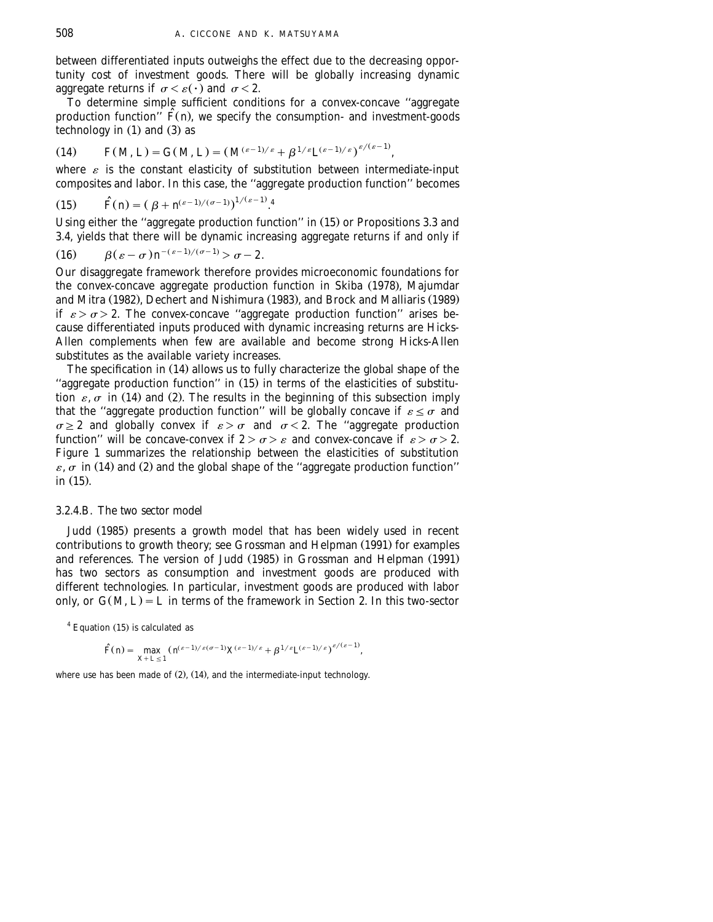between differentiated inputs outweighs the effect due to the decreasing opportunity cost of investment goods. There will be globally increasing dynamic aggregate returns if  $\sigma \leq \varepsilon(\cdot)$  and  $\sigma \leq 2$ .

To determine simple sufficient conditions for a convex-concave ''aggregate production function<sup> $\hat{F}(n)$ , we specify the consumption- and investment-goods</sup> technology in  $(1)$  and  $(3)$  as

$$
(14) \tF(M, L) = G(M, L) = (M^{(\varepsilon-1)/\varepsilon} + \beta^{1/\varepsilon} L^{(\varepsilon-1)/\varepsilon})^{\varepsilon/(\varepsilon-1)},
$$

where  $\varepsilon$  is the constant elasticity of substitution between intermediate-input composites and labor. In this case, the ''aggregate production function'' becomes

(15) 
$$
\hat{F}(n) = (\beta + n^{(\varepsilon - 1)/(\sigma - 1)})^{1/(\varepsilon - 1)}.
$$

Using either the "aggregate production function" in  $(15)$  or Propositions 3.3 and 3.4, yields that there will be dynamic increasing aggregate returns if and only if

$$
(16) \qquad \beta(\varepsilon-\sigma)n^{-(\varepsilon-1)/(\sigma-1)} > \sigma-2.
$$

Our disaggregate framework therefore provides microeconomic foundations for the convex-concave aggregate production function in Skiba (1978), Majumdar and Mitra (1982), Dechert and Nishimura (1983), and Brock and Malliaris (1989) if  $\varepsilon > \sigma > 2$ . The convex-concave "aggregate production function" arises because differentiated inputs produced with dynamic increasing returns are Hicks-Allen complements when few are available and become strong Hicks-Allen substitutes as the available variety increases.

The specification in  $(14)$  allows us to fully characterize the global shape of the "aggregate production function" in  $(15)$  in terms of the elasticities of substitution  $\varepsilon$ ,  $\sigma$  in (14) and (2). The results in the beginning of this subsection imply that the "aggregate production function" will be globally concave if  $\varepsilon \leq \sigma$  and  $\sigma \geq 2$  and globally convex if  $\varepsilon > \sigma$  and  $\sigma < 2$ . The "aggregate production function" will be concave-convex if  $2 > \sigma > \varepsilon$  and convex-concave if  $\varepsilon > \sigma > 2$ . Figure 1 summarizes the relationship between the elasticities of substitution  $\varepsilon$ ,  $\sigma$  in (14) and (2) and the global shape of the "aggregate production function" in  $(15)$ .

# 3.2.4.B. *The two sector model*

Judd (1985) presents a growth model that has been widely used in recent contributions to growth theory; see Grossman and Helpman (1991) for examples and references. The version of Judd (1985) in Grossman and Helpman (1991) has two sectors as consumption and investment goods are produced with different technologies. In particular, investment goods are produced with labor only, or  $G(M, L) = L$  in terms of the framework in Section 2. In this two-sector

 $4$  Equation (15) is calculated as

$$
\widehat{F}(n) = \max_{X+L \leq 1} (H^{\varepsilon-1)/\varepsilon(\sigma-1)} X^{(\varepsilon-1)/\varepsilon} + \beta^{1/\varepsilon} L^{(\varepsilon-1)/\varepsilon})^{\varepsilon/(\varepsilon-1)},
$$

where use has been made of  $(2)$ ,  $(14)$ , and the intermediate-input technology.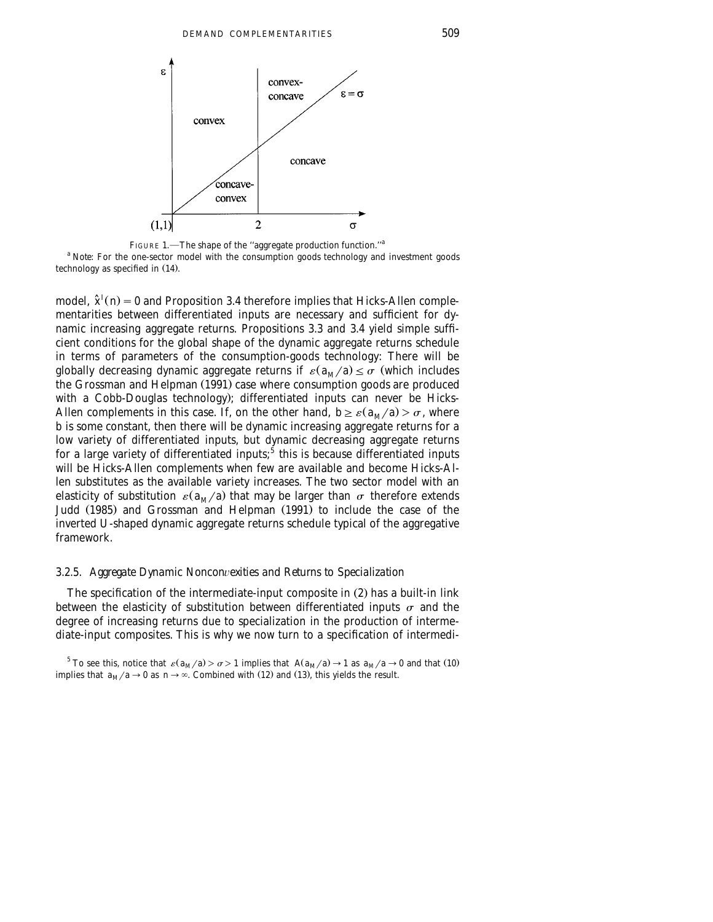

FIGURE 1.—The shape of the "aggregate production function."<sup>a</sup>

<sup>a</sup> *Note*: For the one-sector model with the consumption goods technology and investment goods technology as specified in  $(14)$ .

*I* model,  $\hat{x}^{i}(n) = 0$  and Proposition 3.4 therefore implies that Hicks-Allen complementarities between differentiated inputs are necessary and sufficient for dynamic increasing aggregate returns. Propositions 3.3 and 3.4 yield simple sufficient conditions for the global shape of the dynamic aggregate returns schedule in terms of parameters of the consumption-goods technology: There will be globally decreasing dynamic aggregate returns if  $\varepsilon$   $(a_M/a) \leq \sigma$  (which includes the Grossman and Helpman (1991) case where consumption goods are produced with a Cobb-Douglas technology); differentiated inputs can never be Hicks-Allen complements in this case. If, on the other hand,  $b \ge \varepsilon (a_M/a) > \sigma$ , where *b* is some constant, then there will be dynamic increasing aggregate returns for a low variety of differentiated inputs, but dynamic decreasing aggregate returns for a large variety of differentiated inputs;<sup>5</sup> this is because differentiated inputs will be Hicks-Allen complements when few are available and become Hicks-Allen substitutes as the available variety increases. The two sector model with an elasticity of substitution  $\varepsilon(a_M/a)$  that may be larger than  $\sigma$  therefore extends Judd (1985) and Grossman and Helpman (1991) to include the case of the inverted U-shaped dynamic aggregate returns schedule typical of the aggregative framework.

# 3.2.5. *Aggregate Dynamic Noncon*¨*exities and Returns to Specialization*

The specification of the intermediate-input composite in  $(2)$  has a built-in link between the elasticity of substitution between differentiated inputs  $\sigma$  and the degree of increasing returns due to specialization in the production of intermediate-input composites. This is why we now turn to a specification of intermedi-

<sup>5</sup> To see this, notice that  $\varepsilon (a_M/a) > \sigma > 1$  implies that  $A(a_M/a) \rightarrow 1$  as  $a_M/a \rightarrow 0$  and that (10) implies that  $a_M/a \rightarrow 0$  as  $n \rightarrow \infty$ . Combined with (12) and (13), this yields the result.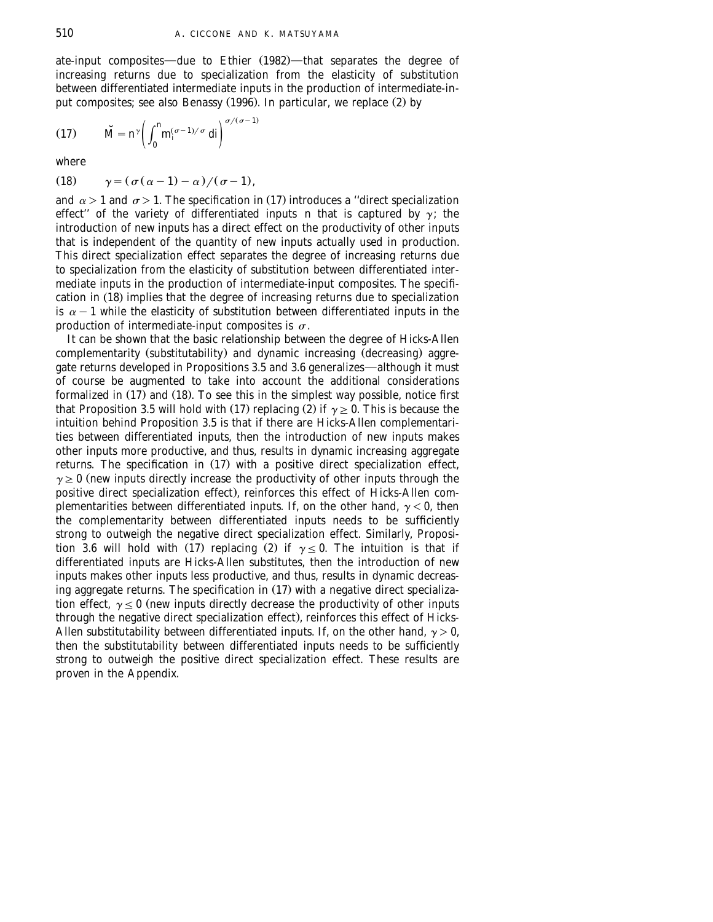ate-input composites—due to Ethier (1982)—that separates the degree of increasing returns due to specialization from the elasticity of substitution between differentiated intermediate inputs in the production of intermediate-input composites; see also Benassy  $(1996)$ . In particular, we replace  $(2)$  by

$$
(17) \t\t \tilde{M} = n^{\gamma} \left( \int_0^n m_i^{(\sigma - 1)/\sigma} dt \right)^{\sigma/(\sigma - 1)}
$$

where

$$
(18) \qquad \gamma = (\sigma(\alpha - 1) - \alpha) / (\sigma - 1),
$$

and  $\alpha$  > 1 and  $\sigma$  > 1. The specification in (17) introduces a "direct specialization effect" of the variety of differentiated inputs *n* that is captured by  $\gamma$ ; the introduction of new inputs has a direct effect on the productivity of other inputs that is independent of the quantity of new inputs actually used in production. This direct specialization effect separates the degree of increasing returns due to specialization from the elasticity of substitution between differentiated intermediate inputs in the production of intermediate-input composites. The specification in (18) implies that the degree of increasing returns due to specialization is  $\alpha-1$  while the elasticity of substitution between differentiated inputs in the production of intermediate-input composites is  $\sigma$ .

It can be shown that the basic relationship between the degree of Hicks-Allen complementarity (substitutability) and dynamic increasing (decreasing) aggregate returns developed in Propositions 3.5 and 3.6 generalizes—although it must of course be augmented to take into account the additional considerations formalized in  $(17)$  and  $(18)$ . To see this in the simplest way possible, notice first that Proposition 3.5 will hold with (17) replacing (2) if  $\gamma \geq 0$ . This is because the intuition behind Proposition 3.5 is that if there are Hicks-Allen complementarities between differentiated inputs, then the introduction of new inputs makes other inputs more productive, and thus, results in dynamic increasing aggregate returns. The specification in  $(17)$  with a positive direct specialization effect,  $\gamma \geq 0$  (new inputs directly increase the productivity of other inputs through the positive direct specialization effect), reinforces this effect of Hicks-Allen complementarities between differentiated inputs. If, on the other hand,  $\gamma < 0$ , then the complementarity between differentiated inputs needs to be sufficiently strong to outweigh the negative direct specialization effect. Similarly, Proposition 3.6 will hold with (17) replacing (2) if  $\gamma \leq 0$ . The intuition is that if differentiated inputs are Hicks-Allen substitutes, then the introduction of new inputs makes other inputs less productive, and thus, results in dynamic decreasing aggregate returns. The specification in  $(17)$  with a negative direct specialization effect,  $\gamma \leq 0$  (new inputs directly decrease the productivity of other inputs through the negative direct specialization effect), reinforces this effect of Hicks-Allen substitutability between differentiated inputs. If, on the other hand,  $\gamma > 0$ , then the substitutability between differentiated inputs needs to be sufficiently strong to outweigh the positive direct specialization effect. These results are proven in the Appendix.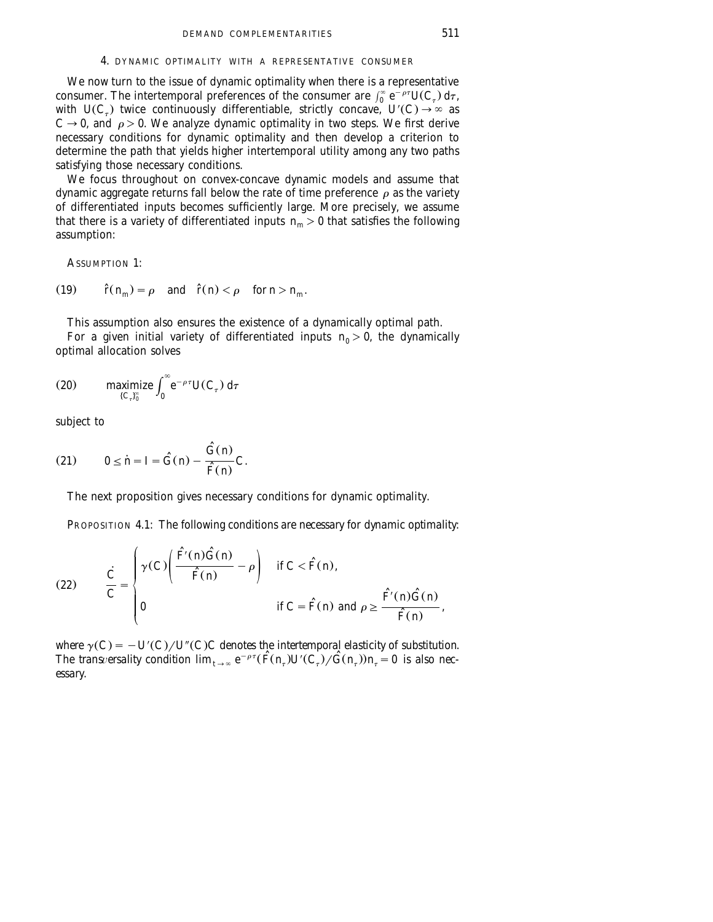### 4. DYNAMIC OPTIMALITY WITH A REPRESENTATIVE CONSUMER

We now turn to the issue of dynamic optimality when there is a representative consumer. The intertemporal preferences of the consumer are  $\int_{0}^{\infty} e^{-\rho \tau} U(C_{\tau}) d\tau$ , with  $U(C_r)$  twice continuously differentiable, strictly concave,  $U'(C) \rightarrow \infty$  as  $C \rightarrow 0$ , and  $\rho > 0$ . We analyze dynamic optimality in two steps. We first derive necessary conditions for dynamic optimality and then develop a criterion to determine the path that yields higher intertemporal utility among any two paths satisfying those necessary conditions.

We focus throughout on convex-concave dynamic models and assume that dynamic aggregate returns fall below the rate of time preference  $\rho$  as the variety of differentiated inputs becomes sufficiently large. More precisely, we assume that there is a variety of differentiated inputs  $n_m > 0$  that satisfies the following assumption:

ASSUMPTION 1.

(19) 
$$
\hat{r}(n_m) = \rho
$$
 and  $\hat{r}(n) < \rho$  for  $n > n_m$ .

This assumption also ensures the existence of a dynamically optimal path.

For a given initial variety of differentiated inputs  $n_0 > 0$ , the dynamically optimal allocation solves

(20) maximize 
$$
\int_{\{C_{\tau}\}_{0}^{\infty}}^{\infty} e^{-\rho\tau} U(C_{\tau}) d\tau
$$

subject to

$$
(21) \qquad 0 \le \dot{n} = I = \hat{G}(n) - \frac{\hat{G}(n)}{\hat{F}(n)}C.
$$

The next proposition gives necessary conditions for dynamic optimality.

PROPOSITION 4.1: *The following conditions are necessary for dynamic optimality*:

(22) 
$$
\frac{\dot{C}}{C} = \begin{cases} \gamma(C) \left( \frac{\hat{F}(n)\hat{G}(n)}{\hat{F}(n)} - \rho \right) & \text{if } C < \hat{F}(n), \\ 0 & \text{if } C = \hat{F}(n) \text{ and } \rho \ge \frac{\hat{F}(n)\hat{G}(n)}{\hat{F}(n)}, \end{cases}
$$

where  $\gamma(C) = -U^{\prime}(C)/U^{\prime\prime}(C)C$  denotes the intertemporal elasticity of substitution. The transversality condition  $\lim_{t\to\infty} e^{-\rho\tau}(\hat{F}(n_{\tau})U'(C_{\tau})/\hat{G}(n_{\tau}))n_{\tau}=0$  is also nec*essary*.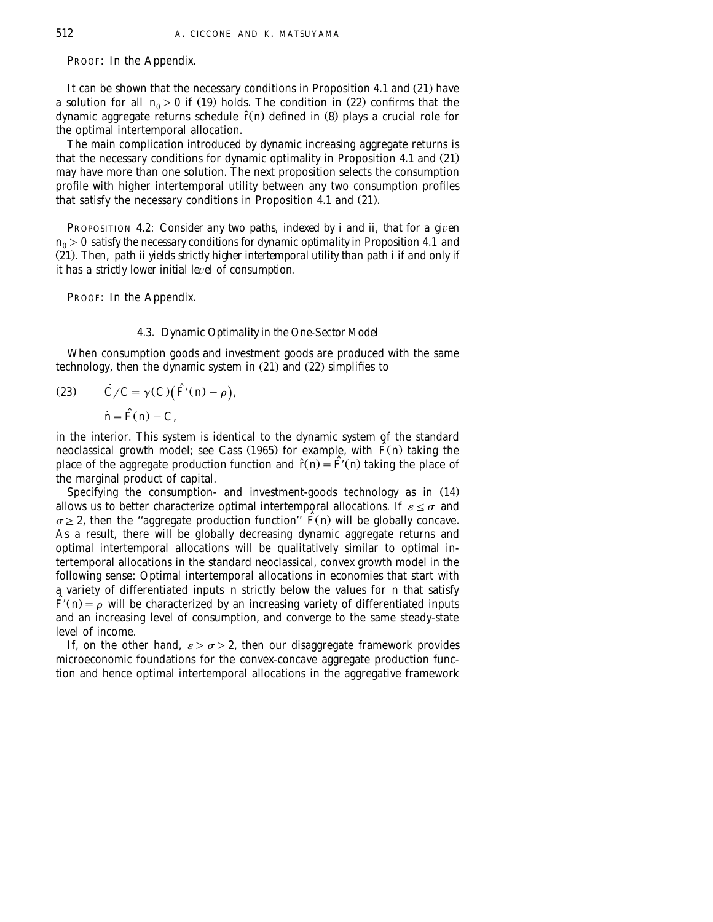PROOF: In the Appendix.

It can be shown that the necessary conditions in Proposition 4.1 and  $(21)$  have a solution for all  $n_0 > 0$  if (19) holds. The condition in (22) confirms that the dynamic aggregate returns schedule  $\hat{r}(n)$  defined in (8) plays a crucial role for the optimal intertemporal allocation.

The main complication introduced by dynamic increasing aggregate returns is that the necessary conditions for dynamic optimality in Proposition 4.1 and  $(21)$ may have more than one solution. The next proposition selects the consumption profile with higher intertemporal utility between any two consumption profiles that satisfy the necessary conditions in Proposition 4.1 and  $(21)$ .

PROPOSITION 4.2: *Consider any two paths, indexed by i and ii, that for a given*  $n_0 > 0$  *satisfy the necessary conditions for dynamic optimality in Proposition* 4.1 *and* Ž . 21 . *Then*, *path ii yields strictly higher intertemporal utility than path i if and only if it has a strictly lower initial le*¨*el of consumption*.

PROOF: In the Appendix.

# 4.3. *Dynamic Optimality in the One*-*Sector Model*

When consumption goods and investment goods are produced with the same technology, then the dynamic system in  $(21)$  and  $(22)$  simplifies to

(23) 
$$
\dot{C}/C = \gamma(C)(\hat{F}'(n) - \rho),
$$

$$
\dot{n} = \hat{F}(n) - C,
$$

in the interior. This system is identical to the dynamic system of the standard neoclassical growth model; see Cass (1965) for example, with  $\hat{F}(n)$  taking the place of the aggregate production function and  $\hat{r}(n) = \hat{F}(n)$  taking the place of the marginal product of capital.

Specifying the consumption- and investment-goods technology as in  $(14)$ allows us to better characterize optimal intertemporal allocations. If  $\varepsilon \leq \sigma$  and  $\sigma \geq 2$ , then the "aggregate production function"  $\hat{F}(n)$  will be globally concave. As a result, there will be globally decreasing dynamic aggregate returns and optimal intertemporal allocations will be qualitatively similar to optimal intertemporal allocations in the standard neoclassical, convex growth model in the following sense: Optimal intertemporal allocations in economies that start with a variety of differentiated inputs *n* strictly below the values for *n* that satisfy  $\tilde{F}(n) = \rho$  will be characterized by an increasing variety of differentiated inputs and an increasing level of consumption, and converge to the same steady-state level of income.

If, on the other hand,  $\varepsilon > \sigma > 2$ , then our disaggregate framework provides microeconomic foundations for the convex-concave aggregate production function and hence optimal intertemporal allocations in the aggregative framework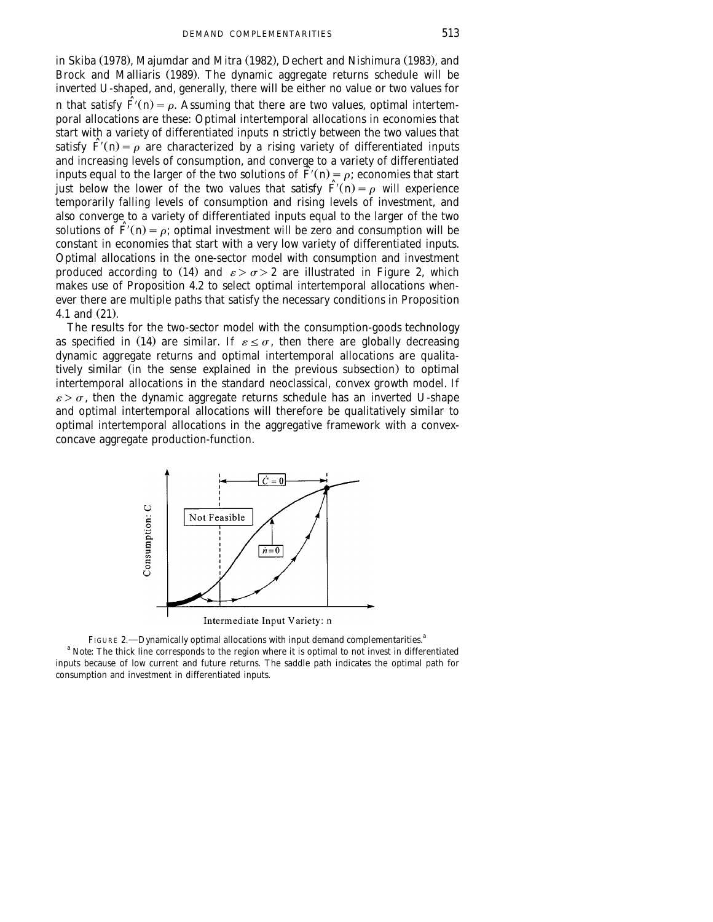in Skiba (1978), Majumdar and Mitra (1982), Dechert and Nishimura (1983), and Brock and Malliaris (1989). The dynamic aggregate returns schedule will be inverted U-shaped, and, generally, there will be either no value or two values for *n* that satisfy  $\hat{F}(n) = \rho$ . Assuming that there are two values, optimal intertemporal allocations are these: Optimal intertemporal allocations in economies that start with a variety of differentiated inputs *n* strictly between the two values that satisfy  $\hat{F}(n) = \rho$  are characterized by a rising variety of differentiated inputs and increasing levels of consumption, and converge to a variety of differentiated inputs equal to the larger of the two solutions of  $\tilde{F}(n) = \rho$ ; economies that start just below the lower of the two values that satisfy  $\hat{F}(n) = \rho$  will experience temporarily falling levels of consumption and rising levels of investment, and also converge to a variety of differentiated inputs equal to the larger of the two solutions of  $\hat{F}(n) = \rho$ ; optimal investment will be zero and consumption will be constant in economies that start with a very low variety of differentiated inputs. Optimal allocations in the one-sector model with consumption and investment produced according to (14) and  $\varepsilon > \sigma > 2$  are illustrated in Figure 2, which makes use of Proposition 4.2 to select optimal intertemporal allocations whenever there are multiple paths that satisfy the necessary conditions in Proposition 4.1 and  $(21)$ .

The results for the two-sector model with the consumption-goods technology as specified in (14) are similar. If  $\varepsilon \leq \sigma$ , then there are globally decreasing dynamic aggregate returns and optimal intertemporal allocations are qualitatively similar (in the sense explained in the previous subsection) to optimal intertemporal allocations in the standard neoclassical, convex growth model. If  $\varepsilon > \sigma$ , then the dynamic aggregate returns schedule has an inverted U-shape and optimal intertemporal allocations will therefore be qualitatively similar to optimal intertemporal allocations in the aggregative framework with a convexconcave aggregate production-function.



Intermediate Input Variety: n

FIGURE 2.—Dynamically optimal allocations with input demand complementarities.<sup>a</sup> <sup>a</sup> *Note*: The thick line corresponds to the region where it is optimal to not invest in differentiated inputs because of low current and future returns. The saddle path indicates the optimal path for consumption and investment in differentiated inputs.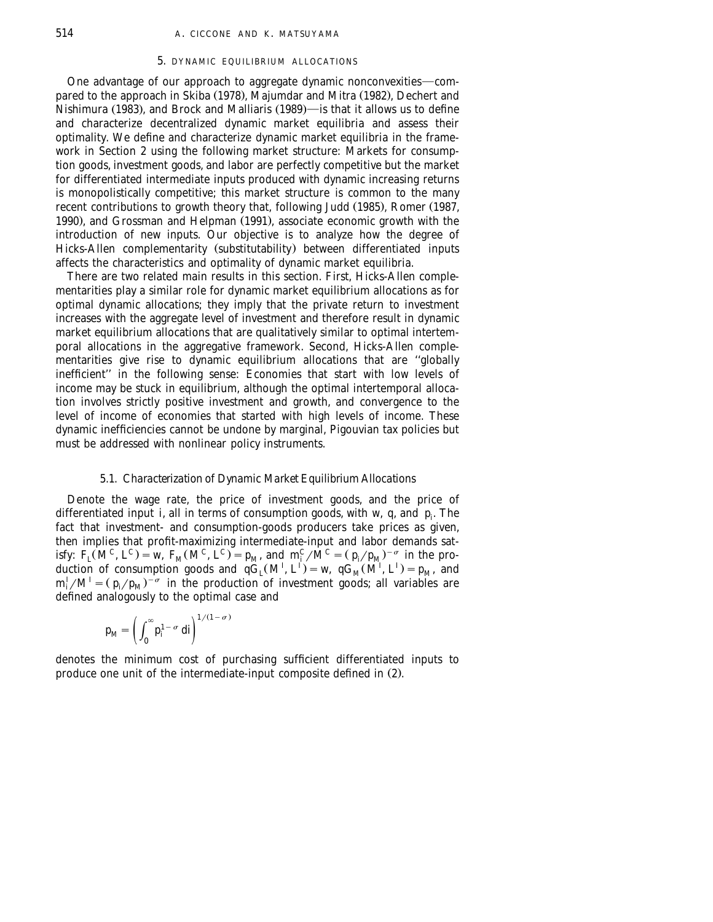### 5. DYNAMIC EQUILIBRIUM ALLOCATIONS

One advantage of our approach to aggregate dynamic nonconvexities—compared to the approach in Skiba (1978), Majumdar and Mitra (1982), Dechert and Nishimura (1983), and Brock and Malliaris (1989)—is that it allows us to define and characterize decentralized dynamic market equilibria and assess their optimality. We define and characterize dynamic market equilibria in the framework in Section 2 using the following market structure: Markets for consumption goods, investment goods, and labor are perfectly competitive but the market for differentiated intermediate inputs produced with dynamic increasing returns is monopolistically competitive; this market structure is common to the many recent contributions to growth theory that, following Judd (1985), Romer (1987, 1990), and Grossman and Helpman (1991), associate economic growth with the introduction of new inputs. Our objective is to analyze how the degree of Hicks-Allen complementarity (substitutability) between differentiated inputs affects the characteristics and optimality of dynamic market equilibria.

There are two related main results in this section. First, Hicks-Allen complementarities play a similar role for dynamic market equilibrium allocations as for optimal dynamic allocations; they imply that the private return to investment increases with the aggregate level of investment and therefore result in dynamic market equilibrium allocations that are qualitatively similar to optimal intertemporal allocations in the aggregative framework. Second, Hicks-Allen complementarities give rise to dynamic equilibrium allocations that are ''globally inefficient'' in the following sense: Economies that start with low levels of income may be stuck in equilibrium, although the optimal intertemporal allocation involves strictly positive investment and growth, and convergence to the level of income of economies that started with high levels of income. These dynamic inefficiencies cannot be undone by marginal, Pigouvian tax policies but must be addressed with nonlinear policy instruments.

### 5.1. *Characterization of Dynamic Market Equilibrium Allocations*

Denote the wage rate, the price of investment goods, and the price of differentiated input *i*, all in terms of consumption goods, with *w*, *q*, and  $p_i$ . The fact that investment- and consumption-goods producers take prices as given, then implies that profit-maximizing intermediate-input and labor demands satisfy:  $F_t(M^C, L^C) = w$ ,  $F_M(M^C, L^C) = p_M$ , and  $m_t^C/M^C = (p_t/p_M)^{-\sigma}$  in the production of consumption goods and  $qG_I(M^I, L^I) = w$ ,  $qG_M(M^I, L^I) = p_M$ , and  $m_i^I/M^I = (p_i/p_M)^{-\sigma}$  in the production of investment goods; all variables are defined analogously to the optimal case and

$$
p_M = \left(\int_0^\infty p_i^{1-\sigma} \, di\right)^{1/(1-\sigma)}
$$

denotes the minimum cost of purchasing sufficient differentiated inputs to produce one unit of the intermediate-input composite defined in (2).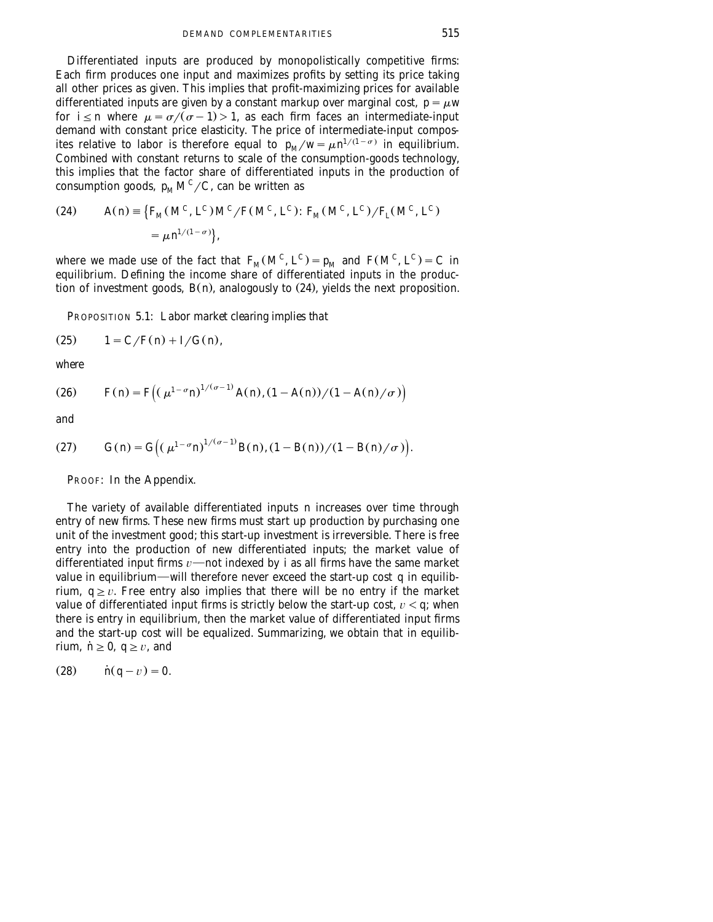Differentiated inputs are produced by monopolistically competitive firms: Each firm produces one input and maximizes profits by setting its price taking all other prices as given. This implies that profit-maximizing prices for available differentiated inputs are given by a constant markup over marginal cost,  $p = \mu w$ for  $i \le n$  where  $\mu = \frac{\sigma}{\sigma - 1} > 1$ , as each firm faces an intermediate-input demand with constant price elasticity. The price of intermediate-input composites relative to labor is therefore equal to  $p_M/w = \mu n^{1/(1-\sigma)}$  in equilibrium. Combined with constant returns to scale of the consumption-goods technology, this implies that the factor share of differentiated inputs in the production of consumption goods,  $p_M M^C/C$ , can be written as

(24) 
$$
A(n) = \{ F_M(M^C, L^C) M^C / F(M^C, L^C) : F_M(M^C, L^C) / F_L(M^C, L^C) = \mu n^{1/(1-\sigma)} \},
$$

where we made use of the fact that  $F_M(M^C, L^C) = p_M$  and  $F(M^C, L^C) = C$  in equilibrium. Defining the income share of differentiated inputs in the production of investment goods,  $B(n)$ , analogously to  $(24)$ , yields the next proposition.

PROPOSITION 5.1: *Labor market clearing implies that*

(25) 
$$
1 = C/F(n) + I/G(n),
$$

*where*

(26) 
$$
F(n) = F((\mu^{1-\sigma}n)^{1/(\sigma-1)}A(n), (1-A(n))/(1-A(n)/\sigma))
$$

*and*

(27) 
$$
G(n) = G((\mu^{1-\sigma} n)^{1/(\sigma-1)} B(n), (1 - B(n))/(1 - B(n)/\sigma)).
$$

PROOF: In the Appendix.

The variety of available differentiated inputs *n* increases over time through entry of new firms. These new firms must start up production by purchasing one unit of the investment good; this start-up investment is irreversible. There is free entry into the production of new differentiated inputs; the market value of differentiated input firms  $v$ —not indexed by *i* as all firms have the same market value in equilibrium—will therefore never exceed the start-up cost  $q$  in equilibrium,  $q \ge v$ . Free entry also implies that there will be no entry if the market value of differentiated input firms is strictly below the start-up cost,  $v < q$ ; when there is entry in equilibrium, then the market value of differentiated input firms and the start-up cost will be equalized. Summarizing, we obtain that in equilibrium,  $\dot{n} \ge 0$ ,  $q \ge v$ , and

$$
(28) \qquad \text{if } q-v=0.
$$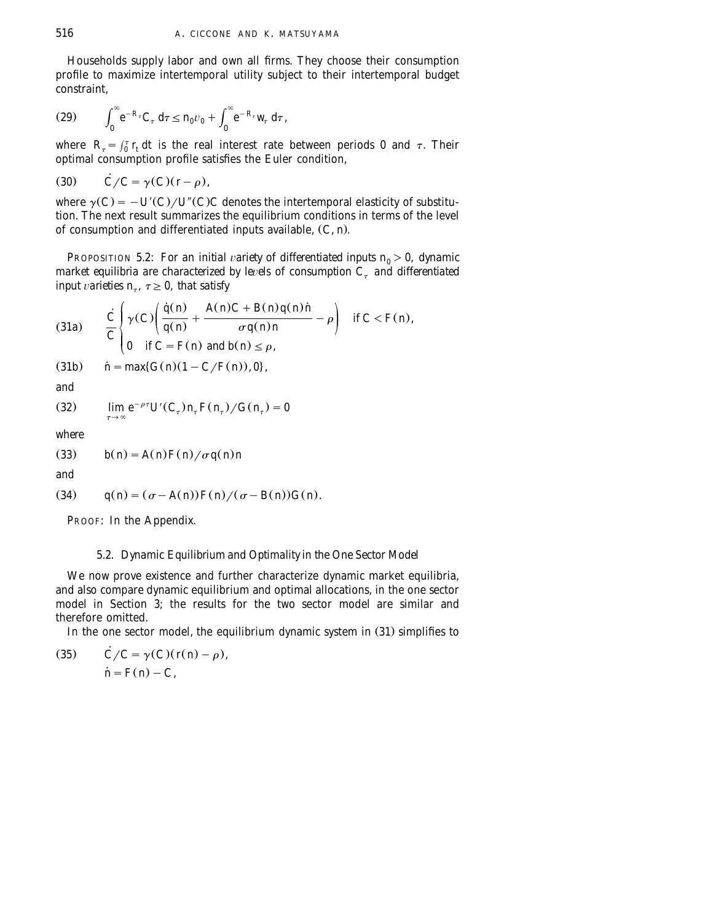Households supply labor and own all firms. They choose their consumption profile to maximize intertemporal utility subject to their intertemporal budget constraint,

(29) 
$$
\int_0^{\infty} e^{-R_{\tau}} C_{\tau} d\tau \leq n_0 v_0 + \int_0^{\infty} e^{-R_{\tau}} w_{\tau} d\tau,
$$

where  $R_{\tau} = \int_0^{\tau} r_t dt$  is the real interest rate between periods 0 and  $\tau$ . Their optimal consumption profile satisfies the Euler condition,

$$
(30) \qquad \dot{C}/C = \gamma(C)(r - \rho),
$$

where  $\gamma(C) = -U'(C)/U''(C)C$  denotes the intertemporal elasticity of substitution. The next result summarizes the equilibrium conditions in terms of the level of consumption and differentiated inputs available,  $(C, n)$ .

**PROPOSITION 5.2:** *For an initial variety of differentiated inputs*  $n_0 > 0$ *, dynamic market equilibria are characterized by levels of consumption*  $C<sub>\tau</sub>$  *and differentiated input* varieties  $n_{\tau}$ ,  $\tau \geq 0$ , that satisfy

(31a) 
$$
\frac{\dot{C}}{C} \begin{cases} \gamma(C) \left( \frac{\dot{q}(n)}{q(n)} + \frac{A(n)C + B(n)q(n)\dot{n}}{\sigma q(n)n} - \rho \right) & \text{if } C < F(n), \\ 0 & \text{if } C = F(n) \text{ and } b(n) \le \rho, \end{cases}
$$

 $(31b)$  $\dot{n} = \max\{G(n)(1 - C/F(n)), 0\},\}$ 

*and*

(32) 
$$
\lim_{\tau \to \infty} e^{-\rho \tau} U'(C_{\tau}) n_{\tau} F(n_{\tau}) / G(n_{\tau}) = 0
$$

*where*

 $(33)$   $b(n) = A(n) F(n) / \sigma q(n) n$ 

*and*

(34) 
$$
q(n) = (\sigma - A(n)) F(n) / (\sigma - B(n)) G(n)
$$
.

PROOF: In the Appendix.

## 5.2. *Dynamic Equilibrium and Optimality in the One Sector Model*

We now prove existence and further characterize dynamic market equilibria, and also compare dynamic equilibrium and optimal allocations, in the one sector model in Section 3; the results for the two sector model are similar and therefore omitted.

In the one sector model, the equilibrium dynamic system in  $(31)$  simplifies to

(35) 
$$
\dot{C}/C = \gamma(C)(r(n) - \rho),
$$

$$
\dot{n} = F(n) - C,
$$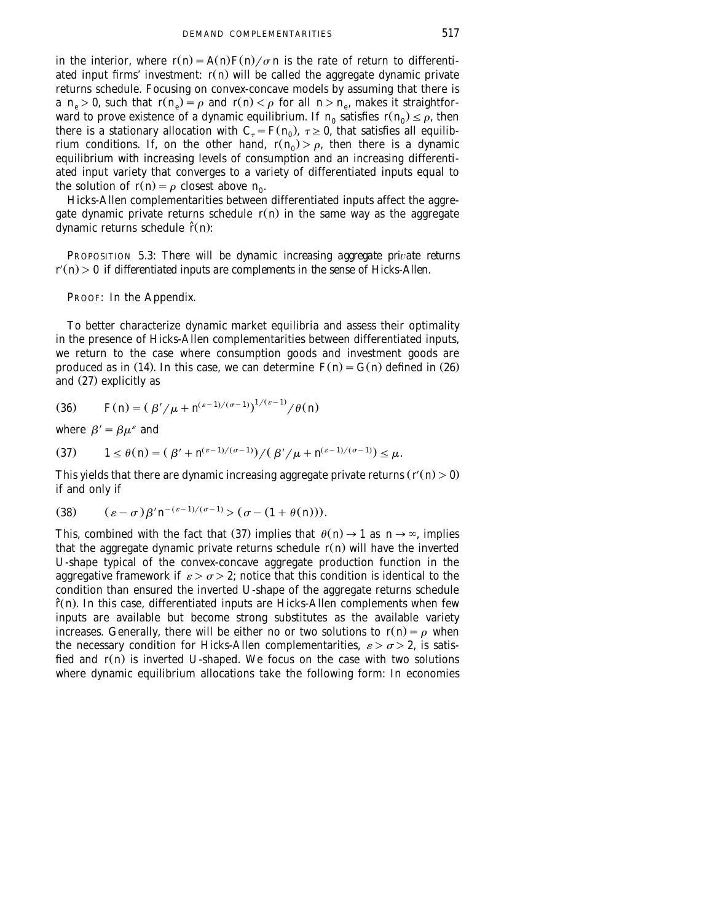in the interior, where  $r(n) = A(n)F(n)/\sigma n$  is the rate of return to differentiated input firms' investment:  $r(n)$  will be called the aggregate dynamic private returns schedule. Focusing on convex-concave models by assuming that there is a  $n_e > 0$ , such that  $r(n_e) = \rho$  and  $r(n) < \rho$  for all  $n > n_e$ , makes it straightforward to prove existence of a dynamic equilibrium. If  $n_0$  satisfies  $r(n_0) \leq \rho$ , then there is a stationary allocation with  $C_{\tau} = F(n_0)$ ,  $\tau \geq 0$ , that satisfies all equilibrium conditions. If, on the other hand,  $r(n_0) > \rho$ , then there is a dynamic equilibrium with increasing levels of consumption and an increasing differentiated input variety that converges to a variety of differentiated inputs equal to the solution of  $r(n) = \rho$  closest above  $n_0$ .

Hicks-Allen complementarities between differentiated inputs affect the aggregate dynamic private returns schedule  $r(n)$  in the same way as the aggregate dynamic returns schedule  $\hat{r}(n)$ :

PROPOSITION 5.3: *There will be dynamic increasing aggregate private returns*  $r'(n) > 0$  *if differentiated inputs are complements in the sense of Hicks-Allen.* 

PROOF: In the Appendix.

To better characterize dynamic market equilibria and assess their optimality in the presence of Hicks-Allen complementarities between differentiated inputs, we return to the case where consumption goods and investment goods are produced as in (14). In this case, we can determine  $F(n) = G(n)$  defined in (26) and  $(27)$  explicitly as

(36) 
$$
F(n) = (\beta'/\mu + n^{(\varepsilon-1)/(\sigma-1)})^{1/(\varepsilon-1)}/\theta(n)
$$

where  $\beta' = \beta \mu^{\varepsilon}$  and

(37) 
$$
1 \leq \theta(n) = (\beta' + n^{(\varepsilon - 1)/(\sigma - 1)}) / (\beta' / \mu + n^{(\varepsilon - 1)/(\sigma - 1)}) \leq \mu.
$$

This yields that there are dynamic increasing aggregate private returns  $r'(n) > 0$ if and only if

$$
(38) \qquad (\varepsilon - \sigma) \beta' n^{-(\varepsilon - 1)/(\sigma - 1)} > (\sigma - (1 + \theta(n))).
$$

This, combined with the fact that (37) implies that  $\theta(n) \rightarrow 1$  as  $n \rightarrow \infty$ , implies that the aggregate dynamic private returns schedule  $r(n)$  will have the inverted U-shape typical of the convex-concave aggregate production function in the aggregative framework if  $\varepsilon > \sigma > 2$ ; notice that this condition is identical to the condition than ensured the inverted U-shape of the aggregate returns schedule  $\hat{r}(n)$ . In this case, differentiated inputs are Hicks-Allen complements when few inputs are available but become strong substitutes as the available variety increases. Generally, there will be either no or two solutions to  $r(n) = \rho$  when the necessary condition for Hicks-Allen complementarities,  $\varepsilon > \sigma > 2$ , is satisfied and  $r(n)$  is inverted U-shaped. We focus on the case with two solutions where dynamic equilibrium allocations take the following form: In economies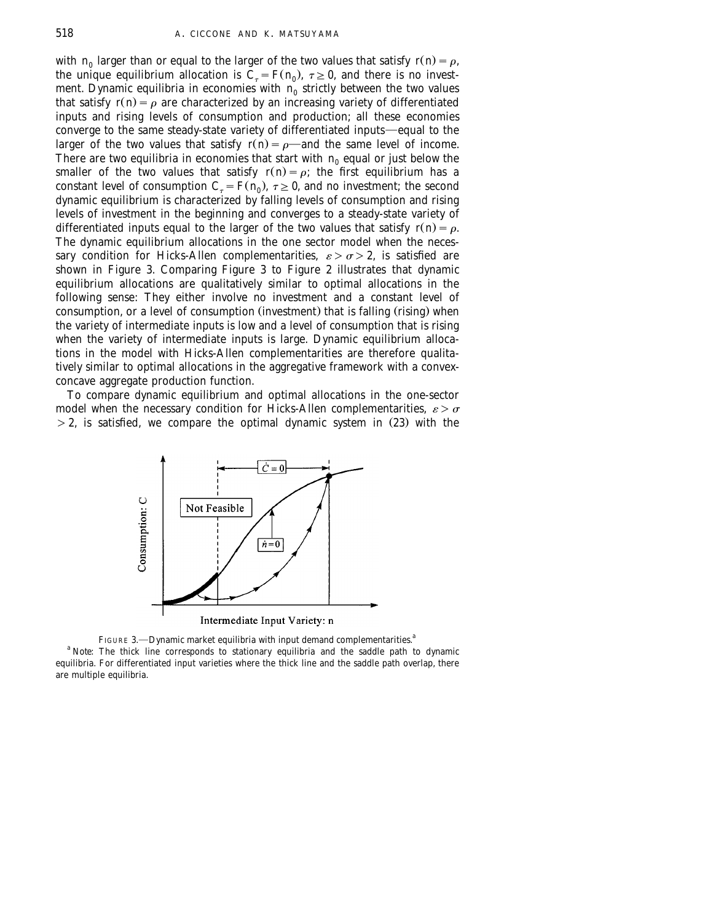with  $n_0$  larger than or equal to the larger of the two values that satisfy  $r(n) = \rho$ , the unique equilibrium allocation is  $C_{\tau} = F(n_0)$ ,  $\tau \geq 0$ , and there is no investment. Dynamic equilibria in economies with  $n_0$  strictly between the two values that satisfy  $r(n) = \rho$  are characterized by an increasing variety of differentiated inputs and rising levels of consumption and production; all these economies converge to the same steady-state variety of differentiated inputs—equal to the larger of the two values that satisfy  $r(n) = \rho$ —and the same level of income. There are two equilibria in economies that start with  $n_0$  equal or just below the smaller of the two values that satisfy  $r(n) = \rho$ ; the first equilibrium has a constant level of consumption  $C<sub>r</sub> = F(n_0)$ ,  $\tau \geq 0$ , and no investment; the second dynamic equilibrium is characterized by falling levels of consumption and rising levels of investment in the beginning and converges to a steady-state variety of differentiated inputs equal to the larger of the two values that satisfy  $r(n) = \rho$ . The dynamic equilibrium allocations in the one sector model when the necessary condition for Hicks-Allen complementarities,  $\varepsilon > \sigma > 2$ , is satisfied are shown in Figure 3. Comparing Figure 3 to Figure 2 illustrates that dynamic equilibrium allocations are qualitatively similar to optimal allocations in the following sense: They either involve no investment and a constant level of consumption, or a level of consumption (investment) that is falling (rising) when the variety of intermediate inputs is low and a level of consumption that is rising when the variety of intermediate inputs is large. Dynamic equilibrium allocations in the model with Hicks-Allen complementarities are therefore qualitatively similar to optimal allocations in the aggregative framework with a convexconcave aggregate production function.

To compare dynamic equilibrium and optimal allocations in the one-sector model when the necessary condition for Hicks-Allen complementarities,  $\varepsilon > \sigma$  $>$  2, is satisfied, we compare the optimal dynamic system in (23) with the



Intermediate Input Variety: n

FIGURE 3. - Dynamic market equilibria with input demand complementarities.<sup>a</sup> <sup>a</sup> *Note*: The thick line corresponds to stationary equilibria and the saddle path to dynamic equilibria. For differentiated input varieties where the thick line and the saddle path overlap, there are multiple equilibria.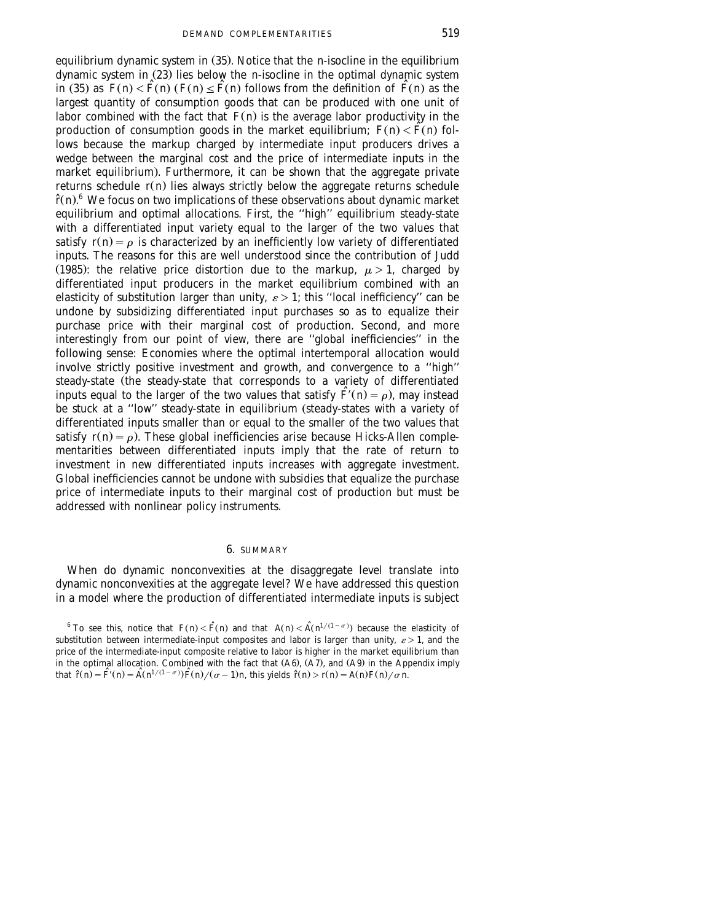equilibrium dynamic system in  $(35)$ . Notice that the *n*-isocline in the equilibrium dynamic system in  $(23)$  lies below the *n*-isocline in the optimal dynamic system in (35) as  $F(n) < \hat{F}(n)$  ( $F(n) < \hat{F}(n)$  follows from the definition of  $\hat{F}(n)$  as the largest quantity of consumption goods that can be produced with one unit of labor combined with the fact that  $F(n)$  is the average labor productivity in the production of consumption goods in the market equilibrium;  $F(n) < \hat{F}(n)$  follows because the markup charged by intermediate input producers drives a wedge between the marginal cost and the price of intermediate inputs in the market equilibrium). Furthermore, it can be shown that the aggregate private returns schedule  $r(n)$  lies always strictly below the aggregate returns schedule  $\hat{r}(n)$ <sup>6</sup>. We focus on two implications of these observations about dynamic market equilibrium and optimal allocations. First, the ''high'' equilibrium steady-state with a differentiated input variety equal to the larger of the two values that satisfy  $r(n) = \rho$  is characterized by an inefficiently low variety of differentiated inputs. The reasons for this are well understood since the contribution of Judd (1985): the relative price distortion due to the markup,  $\mu > 1$ , charged by differentiated input producers in the market equilibrium combined with an elasticity of substitution larger than unity,  $\varepsilon > 1$ ; this "local inefficiency" can be undone by subsidizing differentiated input purchases so as to equalize their purchase price with their marginal cost of production. Second, and more interestingly from our point of view, there are ''global inefficiencies'' in the following sense: Economies where the optimal intertemporal allocation would involve strictly positive investment and growth, and convergence to a ''high'' steady-state (the steady-state that corresponds to a variety of differentiated inputs equal to the larger of the two values that satisfy  $\hat{F}(\vec{n}) = \rho$ ), may instead be stuck at a "low" steady-state in equilibrium (steady-states with a variety of differentiated inputs smaller than or equal to the smaller of the two values that satisfy  $r(n) = \rho$ ). These global inefficiencies arise because Hicks-Allen complementarities between differentiated inputs imply that the rate of return to investment in new differentiated inputs increases with aggregate investment. Global inefficiencies cannot be undone with subsidies that equalize the purchase price of intermediate inputs to their marginal cost of production but must be addressed with nonlinear policy instruments.

#### 6. SUMMARY

When do dynamic nonconvexities at the disaggregate level translate into dynamic nonconvexities at the aggregate level? We have addressed this question in a model where the production of differentiated intermediate inputs is subject

<sup>&</sup>lt;sup>6</sup> To see this, notice that  $F(n) < \hat{F}(n)$  and that  $A(n) < \hat{A}(n^{1/(1-\sigma)})$  because the elasticity of substitution between intermediate-input composites and labor is larger than unity,  $\varepsilon > 1$ , and the price of the intermediate-input composite relative to labor is higher in the market equilibrium than in the optimal allocation. Combined with the fact that  $( A6 )$ ,  $( A7 )$ , and  $( A9 )$  in the Appendix imply that  $\hat{r}(n) = \hat{F}(n) = \hat{A}(n^{1/(1-\sigma)})\hat{F}(n)/(\sigma-1)n$ , this yields  $\hat{r}(n) > r(n) = A(n)F(n)/\sigma n$ .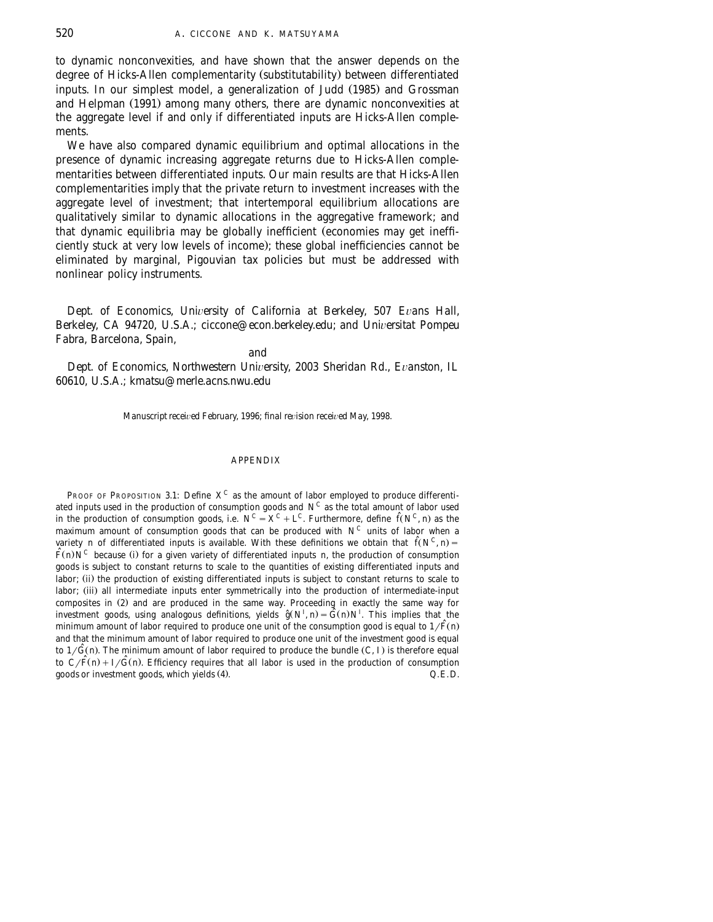to dynamic nonconvexities, and have shown that the answer depends on the degree of Hicks-Allen complementarity (substitutability) between differentiated inputs. In our simplest model, a generalization of Judd (1985) and Grossman and Helpman (1991) among many others, there are dynamic nonconvexities at the aggregate level if and only if differentiated inputs are Hicks-Allen complements.

We have also compared dynamic equilibrium and optimal allocations in the presence of dynamic increasing aggregate returns due to Hicks-Allen complementarities between differentiated inputs. Our main results are that Hicks-Allen complementarities imply that the private return to investment increases with the aggregate level of investment; that intertemporal equilibrium allocations are qualitatively similar to dynamic allocations in the aggregative framework; and that dynamic equilibria may be globally inefficient (economies may get inefficiently stuck at very low levels of income); these global inefficiencies cannot be eliminated by marginal, Pigouvian tax policies but must be addressed with nonlinear policy instruments.

*Dept. of Economics, University of California at Berkeley, 507 Evans Hall, Berkeley, CA 94720, U.S.A.; ciccone@econ.berkeley.edu; and Universitat Pompeu Fabra, Barcelona, Spain,*

*and*

*Dept. of Economics, Northwestern University, 2003 Sheridan Rd., Evanston, IL 60610, U.S.A.; kmatsu*@*merle.acns.nwu.edu*

*Manuscript received February, 1996; final revision received May, 1998.* 

### APPENDIX

PROOF OF PROPOSITION 3.1: Define  $X^C$  as the amount of labor employed to produce differentiated inputs used in the production of consumption goods and  $N^C$  as the total amount of labor used in the production of consumption goods, i.e.  $N^C = X^C + L^C$ . Furthermore, define  $\hat{f}(N^C, n)$  as the maximum amount of consumption goods that can be produced with  $N^C$  units of labor when a variety *n* of differentiated inputs is available. With these definitions we obtain that  $\hat{f}(N^C, n)$  =  $\hat{F}(n)N^C$  because (i) for a given variety of differentiated inputs *n*, the production of consumption goods is subject to constant returns to scale to the quantities of existing differentiated inputs and labor; (ii) the production of existing differentiated inputs is subject to constant returns to scale to labor; (iii) all intermediate inputs enter symmetrically into the production of intermediate-input composites in (2) and are produced in the same way. Proceeding in exactly the same way for *I* investment goods, using analogous definitions, yields  $\hat{g}(N^I, n) = \hat{G}(n)N^I$ . This implies that the minimum amount of labor required to produce one unit of the consumption good is equal to  $1/\tilde{F}(n)$ and that the minimum amount of labor required to produce one unit of the investment good is equal to  $1/\hat{G}(n)$ . The minimum amount of labor required to produce the bundle  $(C, I)$  is therefore equal to  $C/F(n) + I/G(n)$ . Efficiency requires that all labor is used in the production of consumption goods or investment goods, which yields (4).  $Q.E.D.$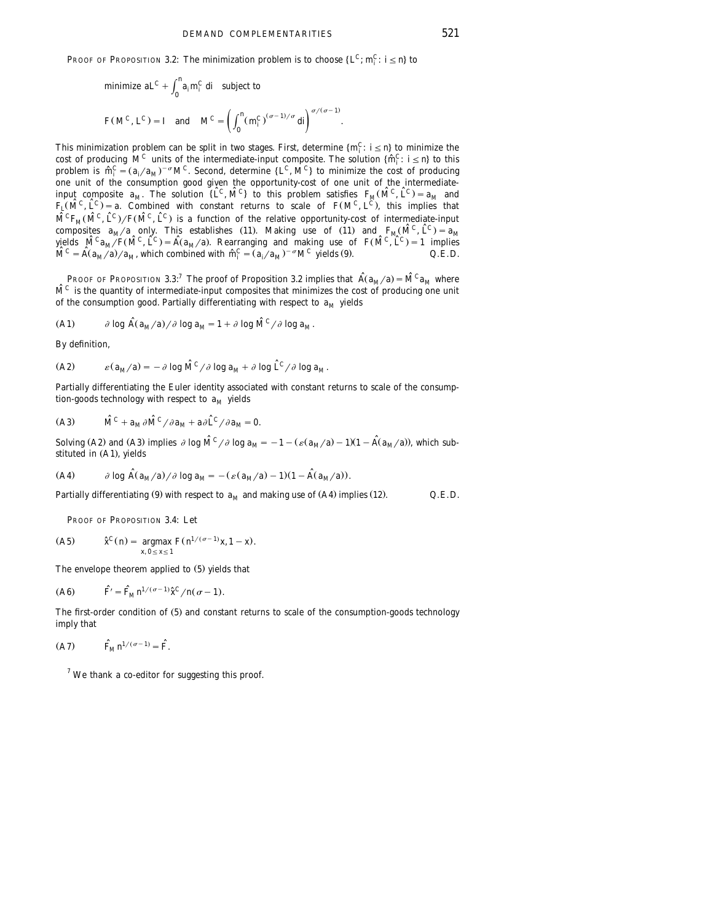**PROOF OF PROPOSITION 3.2: The minimization problem is to choose**  $\{L^C; m_i^C: i \leq n\}$  **to** 

minimize 
$$
aL^C + \int_0^R a_i m_i^C \, di
$$
 subject to  
\n
$$
F(M^C, L^C) = I \quad \text{and} \quad M^C = \left(\int_0^R (m_i^C)^{(\sigma - 1)/\sigma} \, di\right)^{\sigma/(\sigma - 1)}.
$$

This minimization problem can be split in two stages. First, determine  $\{m_i^C: i \le n\}$  to minimize the cost of producing  $M^C$  units of the intermediate-input composite. The solution  $\{\hat{m}_i^C: i \le n\}$  to this problem is one unit of the consumption good given the opportunity-cost of one unit of the intermediateinput composite  $a_M$ . The solution  $\{ \hat{L}^C, \hat{M}^C \}$  to this problem satisfies  $F_M(\hat{M}^C, \hat{L}^C) = a_M$  and  $F_L(\hat{M}^C, \hat{L}^C) = a$ . Combined with constant returns to scale of  $F(M^C, L^C)$ , this implies that  $\hat{M}^C F_M(\hat{M}^C, \hat{L}^C)/F(\hat{M}^C, \hat{L}^C)$  is a function of the relative opportunity-cost of intermediate-input composites  $a_M/a$  only. This establishes (11). Making use of (11) and  $F_M(\hat{M}^C, \hat{L}^C) = a_M$  $\hat{M}^C a_M / F(\hat{M}^C, \hat{L}^C) = \hat{A}(a_M/a)$ . Rearranging and making use of  $F(\hat{M}^C, \hat{L}^C) = 1$  implies  $\hat{M}^C = \hat{A}(a_M/a)/a_M$ , which combined with  $\hat{m}_i^C = (a_i/a_M)^{-\sigma} M^C$  yields (9).  $Q.E.D.$ 

PROOF OF PROPOSITION 3.3:<sup>7</sup> The proof of Proposition 3.2 implies that  $\hat{A}(a_M/a) = \hat{M}^C a_M$  where  $\hat{M}^C$  is the quantity of intermediate-input composites that minimizes the cost of producing one unit of the consumption good. Partially differentiating with respect to  $a_M$  yields

(A1) 
$$
\partial \log \hat{A}(a_M/a)/\partial \log a_M = 1 + \partial \log \hat{M}^C/\partial \log a_M
$$
.

By definition,

(A2) 
$$
\varepsilon (a_M/a) = -\partial \log \hat{M}^C / \partial \log a_M + \partial \log \hat{L}^C / \partial \log a_M.
$$

Partially differentiating the Euler identity associated with constant returns to scale of the consumption-goods technology with respect to  $a_M$  yields

(A3) 
$$
\hat{M}^C + a_M \partial \hat{M}^C / \partial a_M + a \partial \hat{L}^C / \partial a_M = 0.
$$

Solving (A2) and (A3) implies  $\partial \log \hat{M}^C / \partial \log a_M = -1 - (\varepsilon (a_M/a) - 1)(1 - \hat{A}(a_M/a))$ , which substituted in (A1), yields

(A4) 
$$
\partial \log \hat{A}(a_M/a)/\partial \log a_M = -( \varepsilon (a_M/a) - 1)(1 - \hat{A}(a_M/a)).
$$

Partially differentiating (9) with respect to  $a_M$  and making use of (A4) implies (12).  $Q.E.D.$ 

PROOF OF PROPOSITION 3.4: Let

(A5) 
$$
\hat{x}^C(n) = \underset{x, 0 \le x \le 1}{\text{argmax}} F(n^{1/(\sigma-1)}x, 1-x).
$$

The envelope theorem applied to  $(5)$  yields that

(A6) 
$$
\hat{F} = \hat{F}_M n^{1/(\sigma - 1)} \hat{x}^C / n(\sigma - 1).
$$

The first-order condition of (5) and constant returns to scale of the consumption-goods technology imply that

$$
(A7) \qquad \qquad \widehat{F}_M n^{1/(\sigma-1)} = \widehat{F}.
$$

 $7$  We thank a co-editor for suggesting this proof.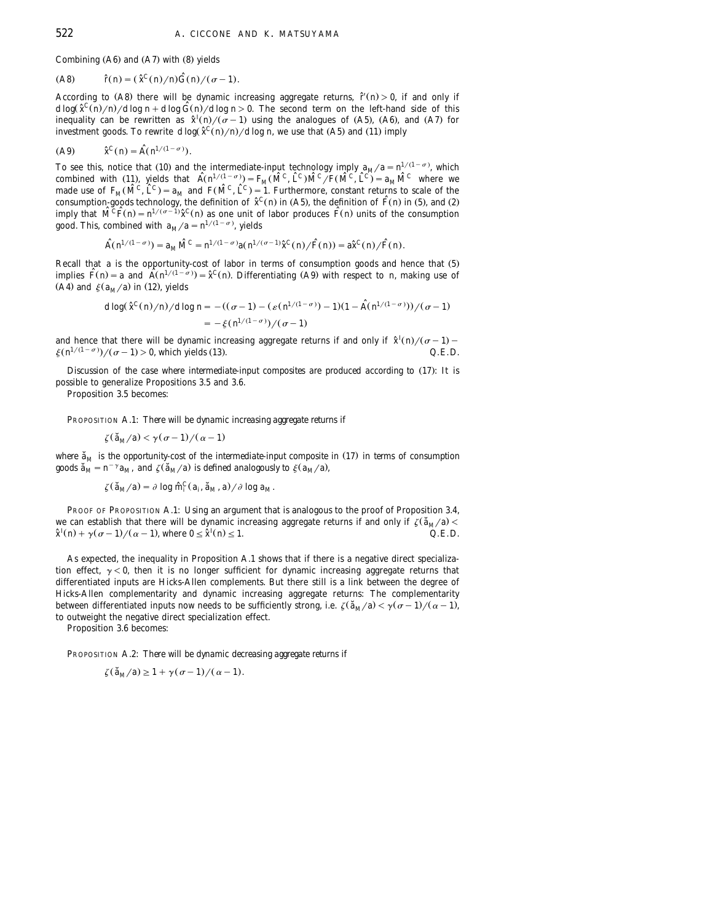Combining  $(A6)$  and  $(A7)$  with  $(8)$  yields

$$
(A8) \qquad \hat{r}(n) = (\hat{x}^C(n)/n)\hat{G}(n)/(\sigma - 1).
$$

According to (A8) there will be dynamic increasing aggregate returns,  $\tilde{r}(n) > 0$ , if and only if  $d \log(\tilde{x}^C(n)/n) / d \log n + d \log \tilde{G}(n) / d \log n > 0$ . The second term on the left-hand side of this inequality can be rewritten as  $\hat{\chi}^{I}(n)/(\sigma-1)$  using the analogues of (A5), (A6), and (A7) for investment goods. To rewrite  $d \log(\hat{x}^C(n)/n) / d \log n$ , we use that (A5) and (11) imply

$$
(A9) \qquad \hat{x}^C(n) = \hat{A}(n^{1/(1-\sigma)}).
$$

To see this, notice that (10) and the intermediate-input technology imply  $a_M/a = n^{1/(1-\sigma)}$ , which combined with (11), yields that  $\hat{A}(n^{1/(1-\sigma)}) = F_M(\hat{M}^C, \hat{L}^C)\hat{M}^C, \hat{L}^C(\hat{M}^C, \hat{L}^C) = a_M\hat{M}^C$  where we made use of  $F_M(\hat{M}^C, \hat{L}^C) = a_M$  and  $F(\hat{M}^C, \hat{L}^C) = 1$ . Furthermore, constant returns to scale of the consumption-goods technology, the definition of  $\hat{\chi}^C(n)$  in (A5), the definition of  $\hat{F}(n)$  in (5), and (2) imply that  $\hat{M}^C \hat{F}(n) = n^{1/(\sigma-1)} \hat{x}^C(n)$  as one unit of labor produces  $\hat{F}(n)$  units of the consumption good. This, combined with  $a_M/a = n^{1/(1-\sigma)}$ , yields

$$
\hat{A}(n^{1/(1-\sigma)}) = a_M \hat{M}^C = n^{1/(1-\sigma)} a(n^{1/(\sigma-1)} \hat{x}^C(n) / \hat{F}(n)) = a \hat{x}^C(n) / \hat{F}(n).
$$

Recall that *a* is the opportunity-cost of labor in terms of consumption goods and hence that (5) implies  $\hat{F}(n) = a$  and  $\hat{A}(n^{1/(1-\sigma)}) = \hat{x}^C(n)$ . Differentiating (A9) with respect to *n*, making use of (A4) and  $\xi(a_M/a)$  in (12), yields

$$
d\log(\hat{x}^C(n)/n)/d\log n = -((\sigma - 1) - (\varepsilon(n^{1/(1-\sigma)}) - 1)(1 - \hat{A}(n^{1/(1-\sigma)}))/(\sigma - 1)
$$
  
=  $-\xi(n^{1/(1-\sigma)})/(\sigma - 1)$ 

and hence that there will be dynamic increasing aggregate returns if and only if  $\hat{x}^{I}(n)/(\sigma-1)$  - $\zeta (n^{1/(1-\sigma)})/(\sigma-1) > 0$ , which yields (13).  $Q.E.D.$ 

*Discussion of the case where intermediate-input composites are produced according to* (17): It is possible to generalize Propositions 3.5 and 3.6.

Proposition 3.5 becomes:

PROPOSITION A.1: *There will be dynamic increasing aggregate returns if*

$$
\zeta(\mathsf{\check{a}}_M/a) < \gamma(\sigma-1)/(\alpha-1)
$$

where  $\tilde{a}_M$  is the opportunity-cost of the intermediate-input composite in (17) in terms of consumption goods  $\tilde{a}_M = n^{-\gamma} a_M$ , and  $\zeta(\tilde{a}_M/a)$  is defined analogously to  $\xi(a_M/a)$ ,

$$
\zeta(\mathbf{\check{a}}_M/a) = \partial \log \hat{m}_i^C(a_i, \mathbf{\check{a}}_M, a) / \partial \log a_M.
$$

PROOF OF PROPOSITION A.1: Using an argument that is analogous to the proof of Proposition 3.4, we can establish that there will be dynamic increasing aggregate returns if and only if  $\zeta(\tilde{a}_M/a) < \frac{\hat{\chi}^T(n) + \gamma(\sigma - 1)}{Q E D}$ .  $\hat{\chi}^I(n) + \gamma(\sigma - 1)/(\alpha - 1)$ , where  $0 \leq \hat{\chi}^I(n) \leq 1$ .

As expected, the inequality in Proposition A.1 shows that if there is a negative direct specialization effect,  $\gamma < 0$ , then it is no longer sufficient for dynamic increasing aggregate returns that differentiated inputs are Hicks-Allen complements. But there still is a link between the degree of Hicks-Allen complementarity and dynamic increasing aggregate returns: The complementarity between differentiated inputs now needs to be sufficiently strong, i.e.  $\zeta(\tilde{a}_M/a) < \gamma(\sigma-1)/(\alpha-1)$ , to outweight the negative direct specialization effect.

Proposition 3.6 becomes:

PROPOSITION A.2: *There will be dynamic decreasing aggregate returns if*

$$
\zeta(\mathfrak{a}_M/a) \geq 1 + \gamma(\sigma - 1)/(\alpha - 1).
$$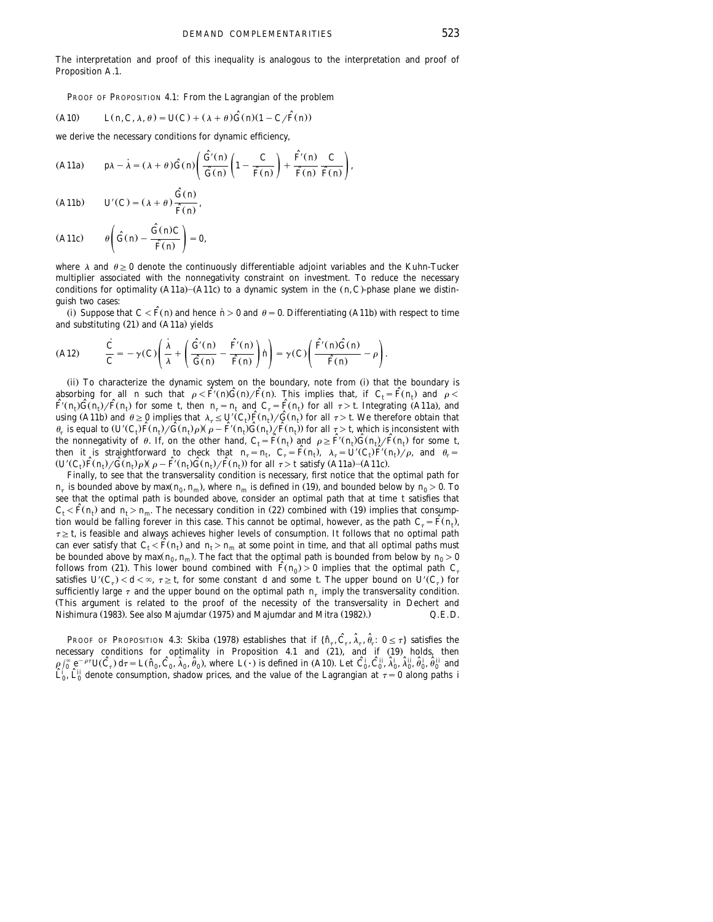The interpretation and proof of this inequality is analogous to the interpretation and proof of Proposition A.1.

PROOF OF PROPOSITION 4.1: From the Lagrangian of the problem

$$
(A10) \qquad L(n, C, \lambda, \theta) = U(C) + (\lambda + \theta) \hat{G}(n)(1 - C/\hat{F}(n))
$$

we derive the necessary conditions for dynamic efficiency,

(A11a) 
$$
p\lambda - \dot{\lambda} = (\lambda + \theta)\hat{G}(n)\left(\frac{\hat{G}(n)}{\hat{G}(n)}\left(1 - \frac{C}{\hat{F}(n)}\right) + \frac{\hat{F}(n)}{\hat{F}(n)}\frac{C}{\hat{F}(n)}\right),
$$

$$
(A11b) \tU'(C) = (\lambda + \theta) \frac{\hat{G}(n)}{\hat{F}(n)},
$$

$$
(A11c) \qquad \theta \left( \hat{G}(n) - \frac{\hat{G}(n)C}{\hat{F}(n)} \right) = 0,
$$

where  $\lambda$  and  $\theta > 0$  denote the continuously differentiable adjoint variables and the Kuhn-Tucker multiplier associated with the nonnegativity constraint on investment. To reduce the necessary conditions for optimality  $(A11a)$  – $(A11c)$  to a dynamic system in the  $(n, C)$ -phase plane we distinguish two cases:

(i) Suppose that  $C < \hat{F}(n)$  and hence  $n > 0$  and  $\theta = 0$ . Differentiating (A11b) with respect to time and substituting  $(21)$  and  $(A11a)$  yields

(A12) 
$$
\frac{\dot{C}}{C} = -\gamma(C) \left( \frac{\dot{\lambda}}{\lambda} + \left( \frac{\hat{G}(n)}{\hat{G}(n)} - \frac{\hat{F}(n)}{\hat{F}(n)} \right) h \right) = \gamma(C) \left( \frac{\hat{F}(n)\hat{G}(n)}{\hat{F}(n)} - \rho \right).
$$

(ii) To characterize the dynamic system on the boundary, note from (i) that the boundary is absorbing for all *n* such that  $\rho < \hat{F}(n)\hat{G}(n)/\hat{F}(n)$ . This implies that, if  $C_t = \hat{F}(n_t)$  and  $\rho < \hat{F}(n_t)\hat{G}(n)/\hat{F}(n_t)$  for some *t*, then  $n_t = n_t$  and  $C_t = \hat{F}(n_t)$  for all  $\tau > t$ . Integrating (A11a), and using (A11b) and  $\theta \ge 0$  implies that  $\lambda_{\tau} \le U'(C_{\tau})\hat{F}(n_{\tau})/\hat{G}(n_{\tau})$  for all  $\tau > t$ . We therefore obtain that  $\theta_{\tau}$  is equal to  $(U'(C_{\tau})\hat{F}(n_{\tau})/\hat{G}(n_{\tau})\rho)(\rho - \hat{F}(n_{\tau})\hat{G}(n_{\tau})/\hat{F}(n_{\tau}))$  for all  $\tau > t$ , the nonnegativity of  $\theta$ . If, on the other hand,  $C_f = \hat{F}(n_i)$  and  $\rho \geq \hat{F}(n_i)\hat{G}(n_i)/\hat{F}(n_i)$  for some *t*, then it is straightforward to check that  $n_{\tau} = n_i$ ,  $C_{\tau} = \hat{F}(n_i)$ ,  $\lambda_{\tau} = U'(C_i)\hat{F}(n_i)/\rho$ , and  $\theta_{\tau} = (U'(C_i)\hat{F}(n_i)/\hat{G}(n_i)/\rho - \hat{F}(n_i)\hat{G}(n_i)/\hat{F}(n_i)$  for all  $\tau > t$  satisfy (A11a)–(A11c).

Finally, to see that the transversality condition is necessary, first notice that the optimal path for  $n_{\tau}$  is bounded above by max( $n_0$ ,  $n_m$ ), where  $n_m$  is defined in (19), and bounded below by  $n_0 > 0$ . To see that the optimal path is bounded above, consider an optimal path that at time *t* satisfies that  $C_t < \widehat{F}(n_t)$  and  $n_t > n_m$ . The necessary condition in (22) combined with (19) implies that consumption would be falling forever in this case. This cannot be optimal, however, as the path  $C_{\tau} = \tilde{F}(n_l)$ ,  $\tau \geq t$ , is feasible and always achieves higher levels of consumption. It follows that no optimal path can ever satisfy that  $C_t < \hat{F}(n_t)$  and  $n_t > n_m$  at some point in time, and that all optimal paths must be bounded above by  $\max(n_0, n_m)$ . The fact that the optimal path is bounded from below by  $n_0 > 0$ follows from (21). This lower bound combined with  $\hat{F}(n_0) > 0$  implies that the optimal path  $C_{\tau}$ satisfies  $U^{\prime}(C_{\tau}) < d < \infty$ ,  $\tau \geq t$ , for some constant *d* and some *t*. The upper bound on  $U^{\prime}(C_{\tau})$  for sufficiently large  $\tau$  and the upper bound on the optimal path  $n<sub>r</sub>$  imply the transversality condition. ŽThis argument is related to the proof of the necessity of the transversality in Dechert and Nishimura (1983). See also Majumdar (1975) and Majumdar and Mitra (1982).)  $Q.E.D.$ 

PROOF OF PROPOSITION 4.3: Skiba (1978) establishes that if  $\{\hat{n}_\tau, \hat{C}_\tau, \hat{\lambda}_\tau, \hat{\theta}_\tau : 0 \le \tau\}$  satisfies the necessary conditions for optimality in Proposition 4.1 and (21), and if (19) holds, then  $\rho \int_0^{\infty} e^{-\rho \tau} U(\hat{C}_{\tau}) d\tau = L(\hat{n}_0, \hat{C}_0, \hat{\lambda}_0, \hat{\theta}_0)$ , where  $L(\cdot)$  is defined in (A10). Let  $\hat{C}_0^i, \hat{C}_0^{ii}, \hat{\lambda}_0^i, \hat{\theta}_0^i, \hat{\theta}_0^i, \hat{\theta}_0^{ii}$  and  $\tilde{L}_0^i$ ,  $\tilde{L}_0^{ij}$  denote consumption, shadow prices, and the value of the Lagrangian at  $\tau = 0$  along paths *i*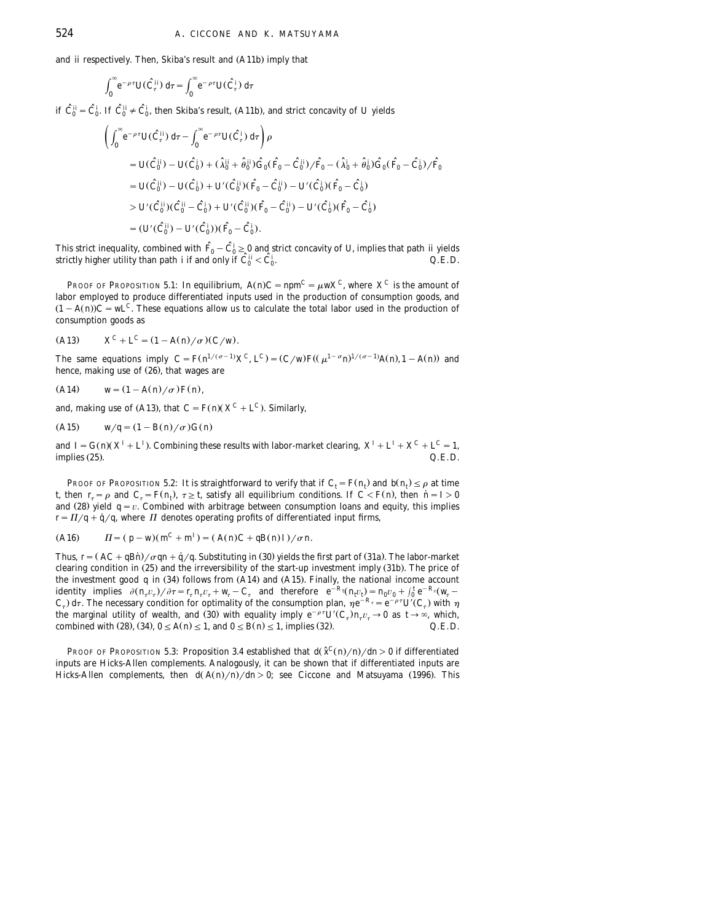and *ii* respectively. Then, Skiba's result and (A11b) imply that

$$
\int_0^\infty e^{-\rho\tau} U(\hat{C}^{ii}_\tau) d\tau = \int_0^\infty e^{-\rho\tau} U(\hat{C}^i_\tau) d\tau
$$

if  $\hat{C}_0^{ij} = \hat{C}_0^i$ . If  $\hat{C}_0^{ij} \neq \hat{C}_0^i$ , then Skiba's result, (A11b), and strict concavity of *U* yields

$$
\begin{split}\n&\left(\int_0^\infty e^{-\rho \tau} U(\hat{C}_\tau^{ij}) \, d\tau - \int_0^\infty e^{-\rho \tau} U(\hat{C}_\tau^{i}) \, d\tau\right) \rho \\
&= U(\hat{C}_0^{ij}) - U(\hat{C}_0^{i}) + (\hat{\lambda}_0^{ii} + \hat{\theta}_0^{ii}) \hat{G}_0 (\hat{F}_0 - \hat{C}_0^{ii}) / \hat{F}_0 - (\hat{\lambda}_0^{i} + \hat{\theta}_0^{i}) \hat{G}_0 (\hat{F}_0 - \hat{C}_0^{i}) / \hat{F}_0 \\
&= U(\hat{C}_0^{ii}) - U(\hat{C}_0^{i}) + U'(\hat{C}_0^{ii}) (\hat{F}_0 - \hat{C}_0^{ii}) - U'(\hat{C}_0^{i}) (\hat{F}_0 - \hat{C}_0^{i}) \\
&> U'(\hat{C}_0^{ii}) (\hat{C}_0^{ii} - \hat{C}_0^{i}) + U'(\hat{C}_0^{ii}) (\hat{F}_0 - \hat{C}_0^{ii}) - U(\hat{C}_0^{i}) (\hat{F}_0 - \hat{C}_0^{i}) \\
&= (U'(\hat{C}_0^{ii}) - U'(\hat{C}_0^{i})) (\hat{F}_0 - \hat{C}_0^{i}).\n\end{split}
$$

This strict inequality, combined with  $\hat{F}_0 - \hat{C}_0^i \ge 0$  and strict concavity of *U*, implies that path *ii* yields strictly higher utility than path *i* if and only if  $\hat{C}_0^{i} < \hat{C}_0^{i}$ . strictly higher utility than path *i* if and only if  $\hat{C}_0^{ii} < \hat{C}_0^{i}$ .

PROOF OF PROPOSITION 5.1: In equilibrium,  $A(n)C = npm^C = \mu wX^C$ , where  $X^C$  is the amount of labor employed to produce differentiated inputs used in the production of consumption goods, and  $(1 - A(n))C = wL^C$ . These equations allow us to calculate the total labor used in the production of consumption goods as

(A13) 
$$
X^{C} + L^{C} = (1 - A(n)/\sigma)(C/w).
$$

The same equations imply  $C = F(n^{1/(\sigma-1)}X^C, L^C) = (C/w)F((\mu^{1-\sigma}n)^{1/(\sigma-1)}A(n), 1-A(n))$  and hence, making use of  $(26)$ , that wages are

(A14) 
$$
w = (1 - A(n)/\sigma)F(n)
$$
,

and, making use of (A13), that  $C = F(n)(X^C + L^C)$ . Similarly,

(A15) 
$$
w/q = (1 - B(n)/\sigma) G(n)
$$

and  $I = G(n)(X^I + L^I)$ . Combining these results with labor-market clearing,  $X^I + L^I + X^C + L^C = 1$ . implies 25 . Ž . *Q*.*E*.*D*.

PROOF OF PROPOSITION 5.2: It is straightforward to verify that if  $C_i = F(n_i)$  and  $b(n_i) \leq \rho$  at time *t*, then  $r_r = \rho$  and  $C_r = F(n_t)$ ,  $\tau \geq t$ , satisfy all equilibrium conditions. If  $C \lt F(n)$ , then  $n = I > 0$ and (28) yield  $q = v$ . Combined with arbitrage between consumption loans and equity, this implies  $r = \frac{\Pi}{q} + \dot{q}/q$ , where  $\Pi$  denotes operating profits of differentiated input firms,

(A16) 
$$
\Pi = (p - w)(m^C + m^I) = (A(n)C + qB(n)I)/\sigma n.
$$

Thus,  $r = (AC + qBn)/\sigma qn + \dot{q}/q$ . Substituting in (30) yields the first part of (31a). The labor-market clearing condition in (25) and the irreversibility of the start-up investment imply (31b). The price of the investment good  $q$  in  $(34)$  follows from  $(A14)$  and  $(A15)$ . Finally, the national income account identity implies  $\partial (n_{\tau}v_{\tau})/\partial \tau = r_{\tau} n_{\tau}v_{\tau} + w_{\tau} - C_{\tau}$  and therefore  $e^{-R}$ <sup>t</sup> $(n_{\tau}v_{\tau}) = n_0v_0 + \int_0^t e^{-R_{\tau}}(w_{\tau} - w_{\tau})$  $C_{\tau}$ )  $d\tau$ . The necessary condition for optimality of the consumption plan,  $\eta e^{-R_{\tau}} = e^{-\rho \tau} U'(C_{\tau})$  with  $\eta$ the marginal utility of wealth, and (30) with equality imply  $e^{-\rho\tau}U'(C_{\tau})n_{\tau}v_{\tau} \to 0$  as  $t \to \infty$ , which, combined with (28), (34),  $0 \le A(n) \le 1$ , and  $0 \le B(n) \le 1$ , implies (32).  $Q.E.D.$ 

**PROOF OF PROPOSITION 5.3: Proposition 3.4 established that**  $d\hat{\chi}^C(n)/n/dn > 0$  **if differentiated** inputs are Hicks-Allen complements. Analogously, it can be shown that if differentiated inputs are Hicks-Allen complements, then  $d(A(n)/n)/dn > 0$ ; see Ciccone and Matsuyama (1996). This